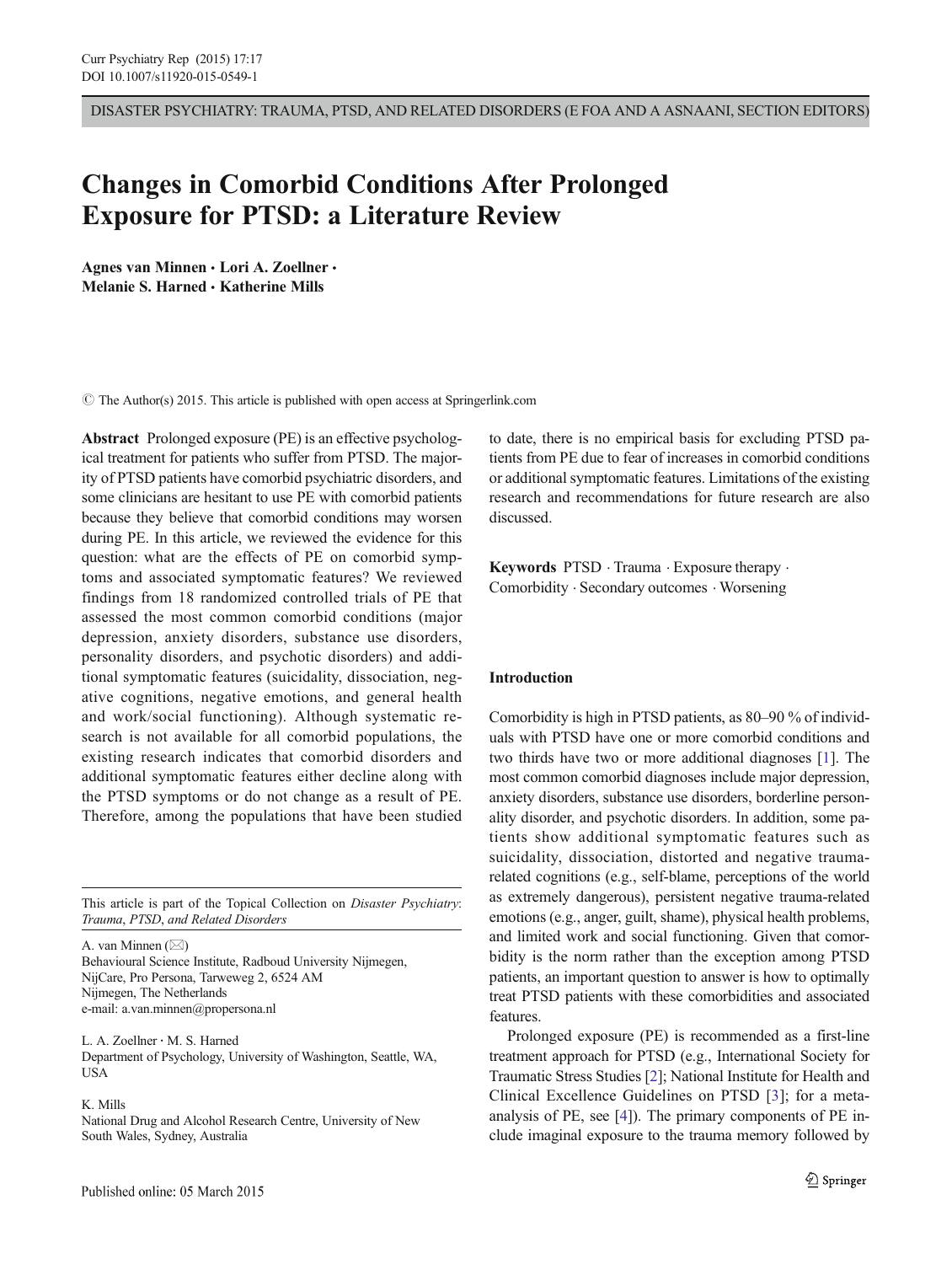<span id="page-0-0"></span>DISASTER PSYCHIATRY: TRAUMA, PTSD, AND RELATED DISORDERS (E FOA AND A ASNAANI, SECTION EDITORS)

# Changes in Comorbid Conditions After Prolonged Exposure for PTSD: a Literature Review

Agnes van Minnen · Lori A. Zoellner · Melanie S. Harned · Katherine Mills

 $\odot$  The Author(s) 2015. This article is published with open access at Springerlink.com

Abstract Prolonged exposure (PE) is an effective psychological treatment for patients who suffer from PTSD. The majority of PTSD patients have comorbid psychiatric disorders, and some clinicians are hesitant to use PE with comorbid patients because they believe that comorbid conditions may worsen during PE. In this article, we reviewed the evidence for this question: what are the effects of PE on comorbid symptoms and associated symptomatic features? We reviewed findings from 18 randomized controlled trials of PE that assessed the most common comorbid conditions (major depression, anxiety disorders, substance use disorders, personality disorders, and psychotic disorders) and additional symptomatic features (suicidality, dissociation, negative cognitions, negative emotions, and general health and work/social functioning). Although systematic research is not available for all comorbid populations, the existing research indicates that comorbid disorders and additional symptomatic features either decline along with the PTSD symptoms or do not change as a result of PE. Therefore, among the populations that have been studied

This article is part of the Topical Collection on Disaster Psychiatry: Trauma, PTSD, and Related Disorders

A. van Minnen  $(\boxtimes)$ Behavioural Science Institute, Radboud University Nijmegen, NijCare, Pro Persona, Tarweweg 2, 6524 AM Nijmegen, The Netherlands e-mail: a.van.minnen@propersona.nl

L. A. Zoellner : M. S. Harned Department of Psychology, University of Washington, Seattle, WA, USA

#### K. Mills

National Drug and Alcohol Research Centre, University of New South Wales, Sydney, Australia

to date, there is no empirical basis for excluding PTSD patients from PE due to fear of increases in comorbid conditions or additional symptomatic features. Limitations of the existing research and recommendations for future research are also discussed.

Keywords PTSD  $\cdot$  Trauma  $\cdot$  Exposure therapy  $\cdot$ Comorbidity . Secondary outcomes . Worsening

# Introduction

Comorbidity is high in PTSD patients, as 80–90 % of individuals with PTSD have one or more comorbid conditions and two thirds have two or more additional diagnoses [[1\]](#page-12-0). The most common comorbid diagnoses include major depression, anxiety disorders, substance use disorders, borderline personality disorder, and psychotic disorders. In addition, some patients show additional symptomatic features such as suicidality, dissociation, distorted and negative traumarelated cognitions (e.g., self-blame, perceptions of the world as extremely dangerous), persistent negative trauma-related emotions (e.g., anger, guilt, shame), physical health problems, and limited work and social functioning. Given that comorbidity is the norm rather than the exception among PTSD patients, an important question to answer is how to optimally treat PTSD patients with these comorbidities and associated features.

Prolonged exposure (PE) is recommended as a first-line treatment approach for PTSD (e.g., International Society for Traumatic Stress Studies [[2\]](#page-12-0); National Institute for Health and Clinical Excellence Guidelines on PTSD [[3\]](#page-12-0); for a metaanalysis of PE, see [[4\]](#page-12-0)). The primary components of PE include imaginal exposure to the trauma memory followed by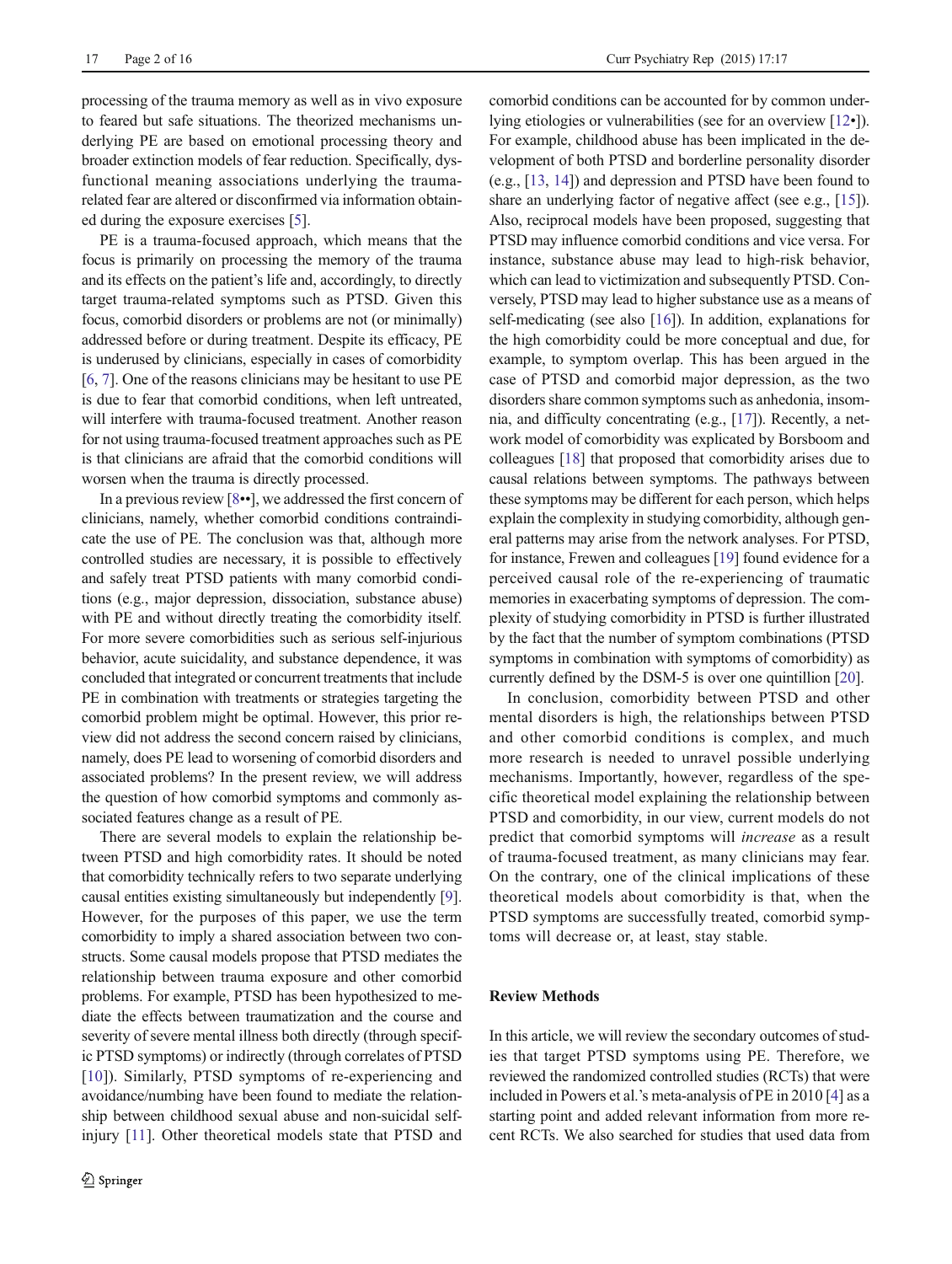processing of the trauma memory as well as in vivo exposure to feared but safe situations. The theorized mechanisms underlying PE are based on emotional processing theory and broader extinction models of fear reduction. Specifically, dysfunctional meaning associations underlying the traumarelated fear are altered or disconfirmed via information obtained during the exposure exercises [\[5\]](#page-12-0).

PE is a trauma-focused approach, which means that the focus is primarily on processing the memory of the trauma and its effects on the patient's life and, accordingly, to directly target trauma-related symptoms such as PTSD. Given this focus, comorbid disorders or problems are not (or minimally) addressed before or during treatment. Despite its efficacy, PE is underused by clinicians, especially in cases of comorbidity [\[6](#page-12-0), [7\]](#page-12-0). One of the reasons clinicians may be hesitant to use PE is due to fear that comorbid conditions, when left untreated, will interfere with trauma-focused treatment. Another reason for not using trauma-focused treatment approaches such as PE is that clinicians are afraid that the comorbid conditions will worsen when the trauma is directly processed.

In a previous review [\[8](#page-12-0)••], we addressed the first concern of clinicians, namely, whether comorbid conditions contraindicate the use of PE. The conclusion was that, although more controlled studies are necessary, it is possible to effectively and safely treat PTSD patients with many comorbid conditions (e.g., major depression, dissociation, substance abuse) with PE and without directly treating the comorbidity itself. For more severe comorbidities such as serious self-injurious behavior, acute suicidality, and substance dependence, it was concluded that integrated or concurrent treatments that include PE in combination with treatments or strategies targeting the comorbid problem might be optimal. However, this prior review did not address the second concern raised by clinicians, namely, does PE lead to worsening of comorbid disorders and associated problems? In the present review, we will address the question of how comorbid symptoms and commonly associated features change as a result of PE.

There are several models to explain the relationship between PTSD and high comorbidity rates. It should be noted that comorbidity technically refers to two separate underlying causal entities existing simultaneously but independently [[9\]](#page-12-0). However, for the purposes of this paper, we use the term comorbidity to imply a shared association between two constructs. Some causal models propose that PTSD mediates the relationship between trauma exposure and other comorbid problems. For example, PTSD has been hypothesized to mediate the effects between traumatization and the course and severity of severe mental illness both directly (through specific PTSD symptoms) or indirectly (through correlates of PTSD [\[10\]](#page-12-0)). Similarly, PTSD symptoms of re-experiencing and avoidance/numbing have been found to mediate the relationship between childhood sexual abuse and non-suicidal selfinjury [[11\]](#page-12-0). Other theoretical models state that PTSD and comorbid conditions can be accounted for by common underlying etiologies or vulnerabilities (see for an overview [\[12](#page-12-0)•]). For example, childhood abuse has been implicated in the development of both PTSD and borderline personality disorder (e.g., [\[13](#page-12-0), [14](#page-12-0)]) and depression and PTSD have been found to share an underlying factor of negative affect (see e.g., [[15\]](#page-12-0)). Also, reciprocal models have been proposed, suggesting that PTSD may influence comorbid conditions and vice versa. For instance, substance abuse may lead to high-risk behavior, which can lead to victimization and subsequently PTSD. Conversely, PTSD may lead to higher substance use as a means of self-medicating (see also [\[16\]](#page-12-0)). In addition, explanations for the high comorbidity could be more conceptual and due, for example, to symptom overlap. This has been argued in the case of PTSD and comorbid major depression, as the two disorders share common symptoms such as anhedonia, insomnia, and difficulty concentrating (e.g., [[17\]](#page-12-0)). Recently, a network model of comorbidity was explicated by Borsboom and colleagues [\[18](#page-12-0)] that proposed that comorbidity arises due to causal relations between symptoms. The pathways between these symptoms may be different for each person, which helps explain the complexity in studying comorbidity, although general patterns may arise from the network analyses. For PTSD, for instance, Frewen and colleagues [[19](#page-12-0)] found evidence for a perceived causal role of the re-experiencing of traumatic memories in exacerbating symptoms of depression. The complexity of studying comorbidity in PTSD is further illustrated by the fact that the number of symptom combinations (PTSD symptoms in combination with symptoms of comorbidity) as currently defined by the DSM-5 is over one quintillion [[20](#page-12-0)].

In conclusion, comorbidity between PTSD and other mental disorders is high, the relationships between PTSD and other comorbid conditions is complex, and much more research is needed to unravel possible underlying mechanisms. Importantly, however, regardless of the specific theoretical model explaining the relationship between PTSD and comorbidity, in our view, current models do not predict that comorbid symptoms will increase as a result of trauma-focused treatment, as many clinicians may fear. On the contrary, one of the clinical implications of these theoretical models about comorbidity is that, when the PTSD symptoms are successfully treated, comorbid symptoms will decrease or, at least, stay stable.

# Review Methods

In this article, we will review the secondary outcomes of studies that target PTSD symptoms using PE. Therefore, we reviewed the randomized controlled studies (RCTs) that were included in Powers et al.'s meta-analysis of PE in 2010 [\[4\]](#page-12-0) as a starting point and added relevant information from more recent RCTs. We also searched for studies that used data from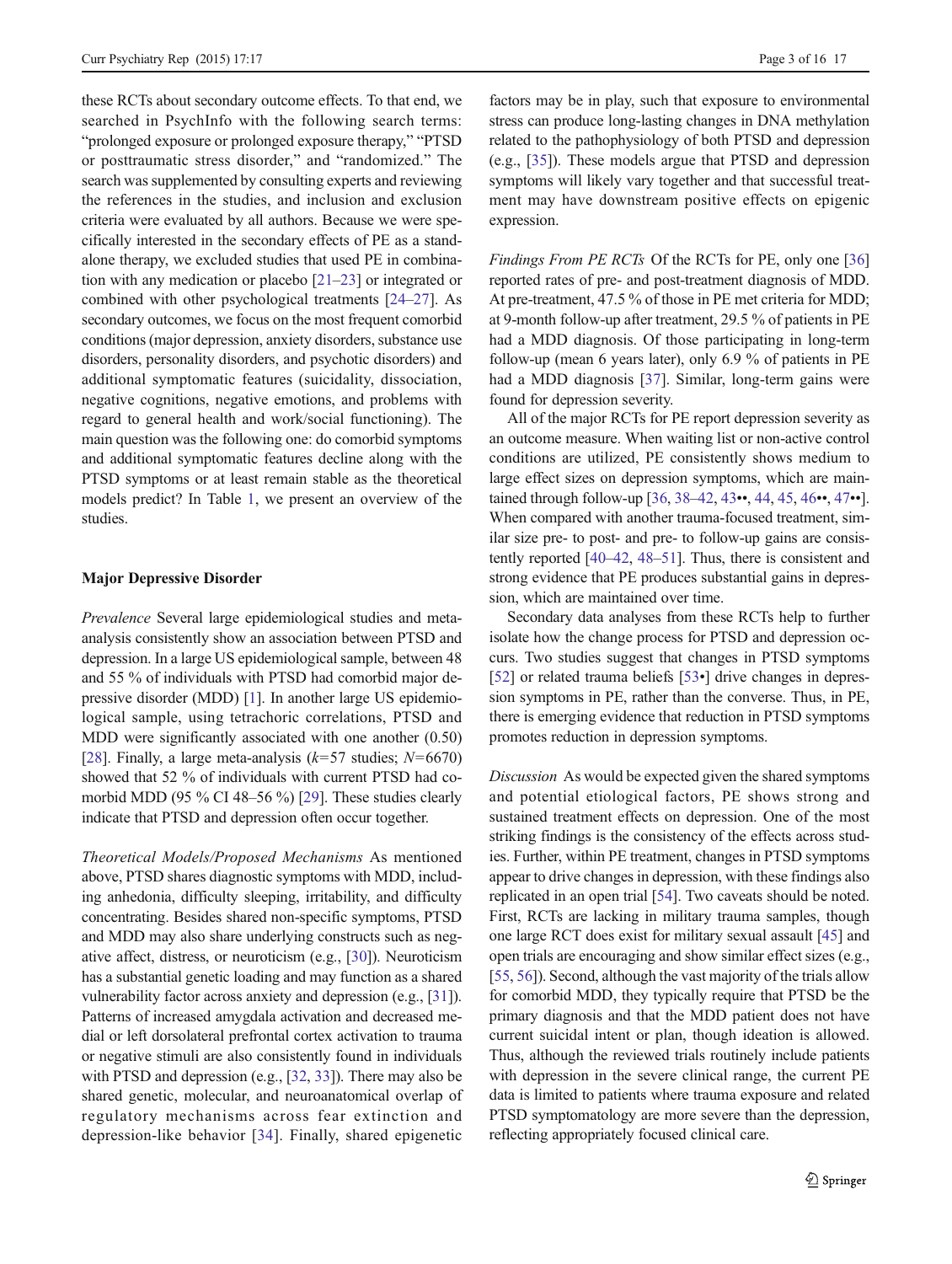these RCTs about secondary outcome effects. To that end, we searched in PsychInfo with the following search terms: "prolonged exposure or prolonged exposure therapy," "PTSD or posttraumatic stress disorder," and "randomized." The search was supplemented by consulting experts and reviewing the references in the studies, and inclusion and exclusion criteria were evaluated by all authors. Because we were specifically interested in the secondary effects of PE as a standalone therapy, we excluded studies that used PE in combination with any medication or placebo [\[21](#page-12-0)–[23\]](#page-13-0) or integrated or combined with other psychological treatments [\[24](#page-13-0)–[27\]](#page-13-0). As secondary outcomes, we focus on the most frequent comorbid conditions (major depression, anxiety disorders, substance use disorders, personality disorders, and psychotic disorders) and additional symptomatic features (suicidality, dissociation, negative cognitions, negative emotions, and problems with regard to general health and work/social functioning). The main question was the following one: do comorbid symptoms and additional symptomatic features decline along with the PTSD symptoms or at least remain stable as the theoretical models predict? In Table [1,](#page-3-0) we present an overview of the studies.

# Major Depressive Disorder

Prevalence Several large epidemiological studies and metaanalysis consistently show an association between PTSD and depression. In a large US epidemiological sample, between 48 and 55 % of individuals with PTSD had comorbid major depressive disorder (MDD) [[1](#page-12-0)]. In another large US epidemiological sample, using tetrachoric correlations, PTSD and MDD were significantly associated with one another (0.50) [\[28\]](#page-13-0). Finally, a large meta-analysis ( $k=57$  studies;  $N=6670$ ) showed that 52 % of individuals with current PTSD had comorbid MDD (95 % CI 48–56 %) [\[29\]](#page-13-0). These studies clearly indicate that PTSD and depression often occur together.

Theoretical Models/Proposed Mechanisms As mentioned above, PTSD shares diagnostic symptoms with MDD, including anhedonia, difficulty sleeping, irritability, and difficulty concentrating. Besides shared non-specific symptoms, PTSD and MDD may also share underlying constructs such as negative affect, distress, or neuroticism (e.g., [[30\]](#page-13-0)). Neuroticism has a substantial genetic loading and may function as a shared vulnerability factor across anxiety and depression (e.g., [[31](#page-13-0)]). Patterns of increased amygdala activation and decreased medial or left dorsolateral prefrontal cortex activation to trauma or negative stimuli are also consistently found in individuals with PTSD and depression (e.g., [\[32](#page-13-0), [33\]](#page-13-0)). There may also be shared genetic, molecular, and neuroanatomical overlap of regulatory mechanisms across fear extinction and depression-like behavior [[34](#page-13-0)]. Finally, shared epigenetic

factors may be in play, such that exposure to environmental stress can produce long-lasting changes in DNA methylation related to the pathophysiology of both PTSD and depression (e.g., [[35](#page-13-0)]). These models argue that PTSD and depression symptoms will likely vary together and that successful treatment may have downstream positive effects on epigenic expression.

Findings From PE RCTs Of the RCTs for PE, only one [\[36](#page-13-0)] reported rates of pre- and post-treatment diagnosis of MDD. At pre-treatment, 47.5 % of those in PE met criteria for MDD; at 9-month follow-up after treatment, 29.5 % of patients in PE had a MDD diagnosis. Of those participating in long-term follow-up (mean 6 years later), only 6.9 % of patients in PE had a MDD diagnosis [[37\]](#page-13-0). Similar, long-term gains were found for depression severity.

All of the major RCTs for PE report depression severity as an outcome measure. When waiting list or non-active control conditions are utilized, PE consistently shows medium to large effect sizes on depression symptoms, which are maintained through follow-up [[36,](#page-13-0) [38](#page-13-0)–[42,](#page-13-0) [43](#page-13-0)••, [44](#page-13-0), [45,](#page-13-0) [46](#page-13-0)••, [47](#page-13-0)••]. When compared with another trauma-focused treatment, similar size pre- to post- and pre- to follow-up gains are consistently reported [\[40](#page-13-0)–[42,](#page-13-0) [48](#page-13-0)–[51\]](#page-13-0). Thus, there is consistent and strong evidence that PE produces substantial gains in depression, which are maintained over time.

Secondary data analyses from these RCTs help to further isolate how the change process for PTSD and depression occurs. Two studies suggest that changes in PTSD symptoms [\[52](#page-13-0)] or related trauma beliefs [\[53](#page-13-0)•] drive changes in depression symptoms in PE, rather than the converse. Thus, in PE, there is emerging evidence that reduction in PTSD symptoms promotes reduction in depression symptoms.

Discussion As would be expected given the shared symptoms and potential etiological factors, PE shows strong and sustained treatment effects on depression. One of the most striking findings is the consistency of the effects across studies. Further, within PE treatment, changes in PTSD symptoms appear to drive changes in depression, with these findings also replicated in an open trial [\[54\]](#page-13-0). Two caveats should be noted. First, RCTs are lacking in military trauma samples, though one large RCT does exist for military sexual assault [\[45](#page-13-0)] and open trials are encouraging and show similar effect sizes (e.g., [\[55](#page-13-0), [56](#page-13-0)]). Second, although the vast majority of the trials allow for comorbid MDD, they typically require that PTSD be the primary diagnosis and that the MDD patient does not have current suicidal intent or plan, though ideation is allowed. Thus, although the reviewed trials routinely include patients with depression in the severe clinical range, the current PE data is limited to patients where trauma exposure and related PTSD symptomatology are more severe than the depression, reflecting appropriately focused clinical care.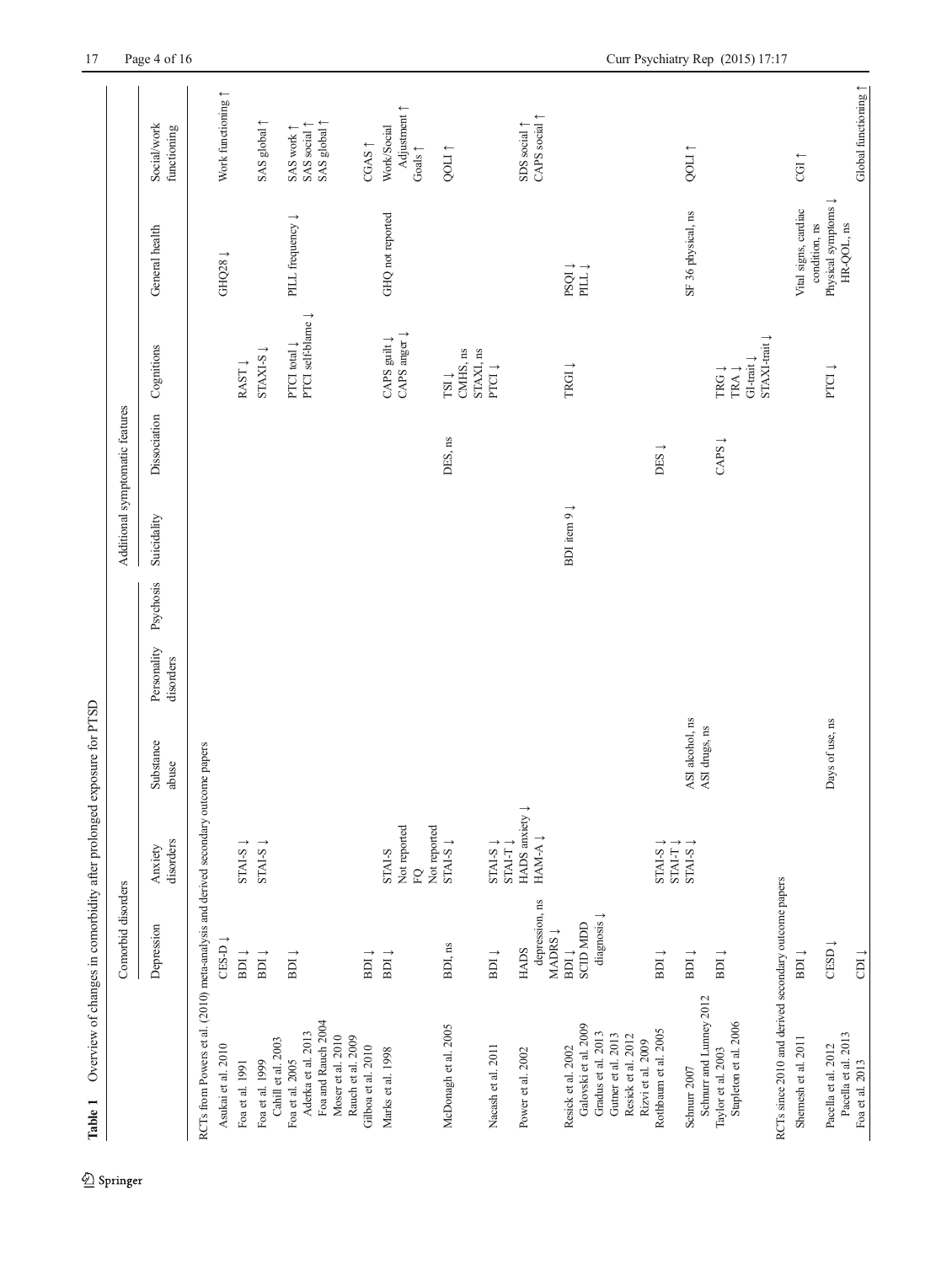<span id="page-3-0"></span>

| Table 1                                                                             |                                      | Overview of changes in comorbidity after prolonged exposure for PTSD |                    |                          |           |                                 |                   |                                                                     |                                       |                                  |
|-------------------------------------------------------------------------------------|--------------------------------------|----------------------------------------------------------------------|--------------------|--------------------------|-----------|---------------------------------|-------------------|---------------------------------------------------------------------|---------------------------------------|----------------------------------|
|                                                                                     | Comorbid disorders                   |                                                                      |                    |                          |           | Additional symptomatic features |                   |                                                                     |                                       |                                  |
|                                                                                     | Depression                           | disorders<br>Anxiety                                                 | Substance<br>abuse | Personality<br>disorders | Psychosis | Suicidality                     | Dissociation      | Cognitions                                                          | General health                        | Social/work<br>functioning       |
| RCTs from Powers et al. (2010) meta-analysis and derived secondary outcome papers   |                                      |                                                                      |                    |                          |           |                                 |                   |                                                                     |                                       |                                  |
| Asukai et al. 2010                                                                  | $CES-D$                              |                                                                      |                    |                          |           |                                 |                   |                                                                     | GHQ28 $\downarrow$                    | Work functioning $\uparrow$      |
| Foa et al. 1991                                                                     | BDI $\downarrow$                     | $\text{STAI-S}\downarrow$                                            |                    |                          |           |                                 |                   | RAST $\downarrow$                                                   |                                       |                                  |
| Foa et al. 1999                                                                     | BDI $\downarrow$                     | $SIV$                                                                |                    |                          |           |                                 |                   | STAXI-S 1                                                           |                                       | SAS global ↑                     |
| Cahill et al. 2003                                                                  |                                      |                                                                      |                    |                          |           |                                 |                   |                                                                     |                                       |                                  |
| Aderka et al. 2013<br>Foa et al. 2005                                               | $_{\rm BD}$                          |                                                                      |                    |                          |           |                                 |                   | PTCI self-blame $\downarrow$<br>PTCI total ↓                        | PILL frequency $\downarrow$           | SAS social 1<br>SAS work 1       |
| Foa and Rauch 2004                                                                  |                                      |                                                                      |                    |                          |           |                                 |                   |                                                                     |                                       | SAS global $\uparrow$            |
| Moser et al. 2010<br>Rauch et al. 2009                                              |                                      |                                                                      |                    |                          |           |                                 |                   |                                                                     |                                       |                                  |
| Gilboa et al. 2010                                                                  | $\operatorname{BDI} \downarrow$      |                                                                      |                    |                          |           |                                 |                   |                                                                     |                                       | CGAS <sup>†</sup>                |
| Marks et al. 1998                                                                   | $\rightarrow$<br>$\overline{BD}$     | STAI-S                                                               |                    |                          |           |                                 |                   | CAPS guilt 1                                                        | GHQ not reported                      | Work/Social                      |
|                                                                                     |                                      | Not reported<br>$\overline{FQ}$                                      |                    |                          |           |                                 |                   | CAPS anger $\downarrow$                                             |                                       | Adjustment 1<br>Goals $\uparrow$ |
|                                                                                     |                                      | Not reported                                                         |                    |                          |           |                                 |                   |                                                                     |                                       |                                  |
| McDonagh et al. 2005                                                                | $\rm BDI, \, ns$                     | $STAIS \downarrow$                                                   |                    |                          |           |                                 | DES, ns           | CMHS, ns<br>STAXI, ns<br>$TSI \downarrow$                           |                                       | $QOLI$ $\uparrow$                |
| Nacash et al. 2011                                                                  | BDI $\downarrow$                     | $\text{STAT-}\!\downarrow$<br>STAI-S Į                               |                    |                          |           |                                 |                   | PTCI <sub>1</sub>                                                   |                                       |                                  |
| Power et al. 2002                                                                   | <b>HADS</b>                          | HADS anxiety $\downarrow$                                            |                    |                          |           |                                 |                   |                                                                     |                                       | SDS social $\uparrow$            |
|                                                                                     | depression, ns<br>MADRS <sub>1</sub> | HAM-A Į                                                              |                    |                          |           |                                 |                   |                                                                     |                                       | CAPS social $\uparrow$           |
| Resick et al. 2002                                                                  | $_{\rm BDI}$                         |                                                                      |                    |                          |           | BDI item 9 1                    |                   | $\rm TRGI$ $\downarrow$                                             | PSQI <sub>1</sub>                     |                                  |
| Galovski et al. 2009                                                                | <b>GION CIDS</b>                     |                                                                      |                    |                          |           |                                 |                   |                                                                     | PILL $\downarrow$                     |                                  |
| Gradus et al. 2013<br>Gutner et al. 2013<br>Resick et al. 2012<br>Rizvi et al. 2009 | diagnosis $\downarrow$               |                                                                      |                    |                          |           |                                 |                   |                                                                     |                                       |                                  |
| Rothbaum et al. 2005                                                                | $_{\rm BD\,l}$                       | $\text{STAT-}\mathbbm{1}$<br>$STAIS \downarrow$                      |                    |                          |           |                                 | DES <sub>1</sub>  |                                                                     |                                       |                                  |
| Schnurr 2007                                                                        | BDI $\downarrow$                     | $\text{STAI-}\text{S} \downarrow$                                    | ASI alcohol, ns    |                          |           |                                 |                   |                                                                     | SF 36 physical, ns                    | $QOLI$ $\uparrow$                |
| Schnurr and Lunney 2012                                                             |                                      |                                                                      | ASI drugs, ns      |                          |           |                                 |                   |                                                                     |                                       |                                  |
| Stapleton et al. 2006<br>Taylor et al. 2003                                         | $_{\rm BD\downarrow}$                |                                                                      |                    |                          |           |                                 | CAPS $\downarrow$ | STAXI-trait $\downarrow$<br>$GI-trait$<br>TRG $\downarrow$<br>TRA Į |                                       |                                  |
| RCTs since 2010 and derived secondary outcome papers                                |                                      |                                                                      |                    |                          |           |                                 |                   |                                                                     |                                       |                                  |
| Shemesh et al. 2011                                                                 | $_{\rm BD}$                          |                                                                      |                    |                          |           |                                 |                   |                                                                     | Vital signs, cardiac<br>condition, ns | CGI $\uparrow$                   |
| Pacella et al. 2012                                                                 | $\text{CESD}\downarrow$              |                                                                      | Days of use, ns    |                          |           |                                 |                   | PTCI $\downarrow$                                                   | Physical symptoms $\downarrow$        |                                  |
| Pacella et al. 2013<br>Foa et al. $2013$                                            | CDI $\downarrow$                     |                                                                      |                    |                          |           |                                 |                   |                                                                     | HR-QOL, ns                            | Global functioning $\uparrow$    |
|                                                                                     |                                      |                                                                      |                    |                          |           |                                 |                   |                                                                     |                                       |                                  |

 $\underline{\textcircled{\tiny 2}}$  Springer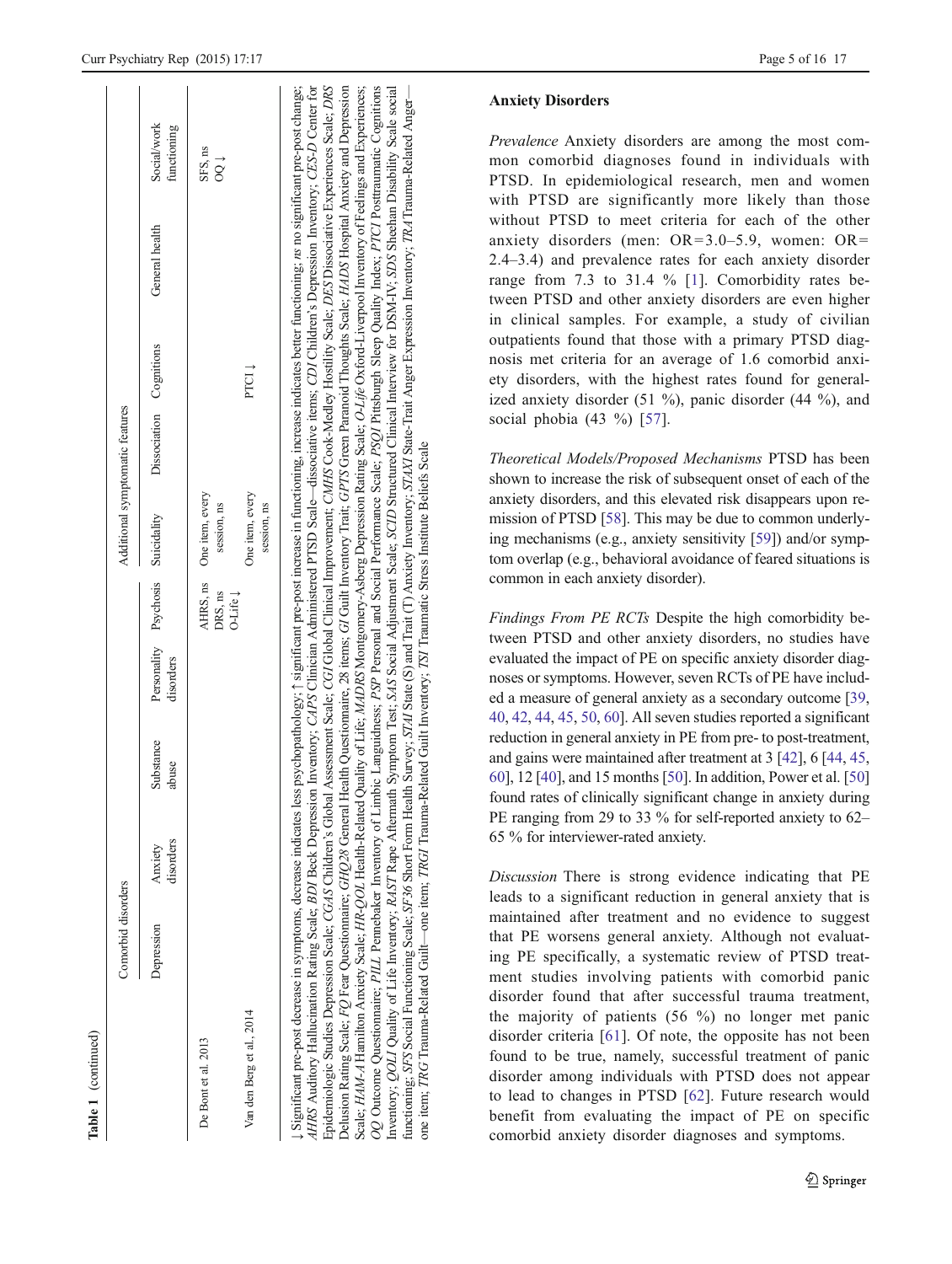|                                                                                                                                                                                                                                                                                                                                                                                                                                                                                                                                                                                         | Comorbid disorders |                      |                    |                                    |                        | Additional symptomatic features         |                         |        |                                                                                                                                    |                            |
|-----------------------------------------------------------------------------------------------------------------------------------------------------------------------------------------------------------------------------------------------------------------------------------------------------------------------------------------------------------------------------------------------------------------------------------------------------------------------------------------------------------------------------------------------------------------------------------------|--------------------|----------------------|--------------------|------------------------------------|------------------------|-----------------------------------------|-------------------------|--------|------------------------------------------------------------------------------------------------------------------------------------|----------------------------|
|                                                                                                                                                                                                                                                                                                                                                                                                                                                                                                                                                                                         | Depression         | disorders<br>Anxiety | Substance<br>abuse | Personality Psychosis<br>disorders |                        | Suicidality                             | Dissociation Cognitions |        | General health                                                                                                                     | Social/work<br>functioning |
| De Bont et al. 2013                                                                                                                                                                                                                                                                                                                                                                                                                                                                                                                                                                     |                    |                      |                    |                                    | DRS, ns                | AHRS, ns One item, every<br>session, ns |                         |        |                                                                                                                                    | SFS, ns<br>$\vec{Q}$       |
| Van den Berg et al., 2014                                                                                                                                                                                                                                                                                                                                                                                                                                                                                                                                                               |                    |                      |                    |                                    | $0$ -Life $\downarrow$ | One item, every<br>session, ns          |                         | PTCI Į |                                                                                                                                    |                            |
| HHXS Auditory Hallucination Rating Scale; BDI Beck Depression Inventory; CAPS Clinician Administered PTSD Scale—dissociative items; CDI Children's Depression Inventory; CES-D Center for<br>Significant pre-post decrease in symptoms, decrease indicates less psychopathology; 1 significant pre-post increase in functioning, increase indicates better functioning; ns no significant pre-post change;                                                                                                                                                                              |                    |                      |                    |                                    |                        |                                         |                         |        |                                                                                                                                    |                            |
| Epidemiologic Studies Depression Scale; CGAS Children's Global Assessment Scale; CGI Global Clinical Improvement; CMHS Cook-Medley Hostility Scale; DES Dissociative Experiences Scale; DRS<br>Delusion Rating Scale; FQ Fear Questionnaire; GHQ28 General                                                                                                                                                                                                                                                                                                                              |                    |                      |                    |                                    |                        |                                         |                         |        | Health Questionnaire, 28 items; GI Guilt Inventory Trait; GPTS Green Paranoid Thoughts Scale; HADS Hospital Anxiety and Depression |                            |
| Scale; HAM-A Hamilton Anxiety Scale; HR-QOL Health-Related Quality of Life; MADRS Montgomery-Asberg Depression Rating Scale; O-Life Oxford-Liverpool Inventory of Feelings and Experiences;<br>OQ Outcome Questionnaire; PILL Pennebaker Inventory of Limbic Languidness; PSP Personal and Social Performance Scale; PSQI Pittsburgh Sleep Quality Index; PTCI Posttraumatic Cognitions<br>Inventory; QOLI Quality of Life Inventory; RAST Rape Aftermath Symptom Test; SAS Social Adjustment Scale; SCID Structured Clinical Interview for DSM-IV; SDS Sheehan Disability Scale social |                    |                      |                    |                                    |                        |                                         |                         |        |                                                                                                                                    |                            |

functioning; SFS Social Functioning Scale; SF36 Short Form Health Survey; STAI State (S) and Trait (T) Anxiety Inventory; STAXI State-Trait Anger Expression Inventory; TRATrauma-Related Anger—

functioning; SFS Social Functioning Scale; SF36 Short Form Health Survey; STAI State (T) Anxiety Inventory; STAI State-Trait Anger Expression Inventory; TRATTauma-Related Anger-

one item; TRG Trauma-Related Guilt—one item; TRGI Trauma-Related Guilt Inventory; TSI Traumatic Stress Institute Beliefs Scale

one item; TRG Trauma-Related Guilt-one item; TRGI Trauma-Related Guilt Inventory; TSI Traumatic Stress Institute Beliefs Scale

# Anxiety Disorders

Prevalence Anxiety disorders are among the most common comorbid diagnoses found in individuals with PTSD. In epidemiological research, men and women with PTSD are significantly more likely than those without PTSD to meet criteria for each of the other anxiety disorders (men: OR=3.0–5.9, women: OR= 2.4–3.4) and prevalence rates for each anxiety disorder range from 7.3 to 31.4 % [\[1](#page-12-0)]. Comorbidity rates between PTSD and other anxiety disorders are even higher in clinical samples. For example, a study of civilian outpatients found that those with a primary PTSD diagnosis met criteria for an average of 1.6 comorbid anxiety disorders, with the highest rates found for generalized anxiety disorder (51 %), panic disorder (44 %), and social phobia  $(43 \%)$  [[57\]](#page-13-0).

Theoretical Models/Proposed Mechanisms PTSD has been shown to increase the risk of subsequent onset of each of the anxiety disorders, and this elevated risk disappears upon remission of PTSD [\[58\]](#page-13-0). This may be due to common underlying mechanisms (e.g., anxiety sensitivity [[59\]](#page-13-0)) and/or symptom overlap (e.g., behavioral avoidance of feared situations is common in each anxiety disorder).

Findings From PE RCTs Despite the high comorbidity between PTSD and other anxiety disorders, no studies have evaluated the impact of PE on specific anxiety disorder diagnoses or symptoms. However, seven RCTs of PE have included a measure of general anxiety as a secondary outcome [\[39,](#page-13-0) [40,](#page-13-0) [42](#page-13-0), [44,](#page-13-0) [45,](#page-13-0) [50](#page-13-0), [60\]](#page-13-0). All seven studies reported a significant reduction in general anxiety in PE from pre- to post-treatment, and gains were maintained after treatment at 3 [\[42](#page-13-0)], 6 [\[44](#page-13-0), [45,](#page-13-0) [60\]](#page-13-0), 12 [\[40](#page-13-0)], and 15 months [[50](#page-13-0)]. In addition, Power et al. [\[50](#page-13-0)] found rates of clinically significant change in anxiety during PE ranging from 29 to 33 % for self-reported anxiety to 62– 65 % for interviewer-rated anxiety.

Discussion There is strong evidence indicating that PE leads to a significant reduction in general anxiety that is maintained after treatment and no evidence to suggest that PE worsens general anxiety. Although not evaluating PE specifically, a systematic review of PTSD treatment studies involving patients with comorbid panic disorder found that after successful trauma treatment, the majority of patients (56 %) no longer met panic disorder criteria [[61\]](#page-14-0). Of note, the opposite has not been found to be true, namely, successful treatment of panic disorder among individuals with PTSD does not appear to lead to changes in PTSD [[62](#page-14-0)]. Future research would benefit from evaluating the impact of PE on specific comorbid anxiety disorder diagnoses and symptoms.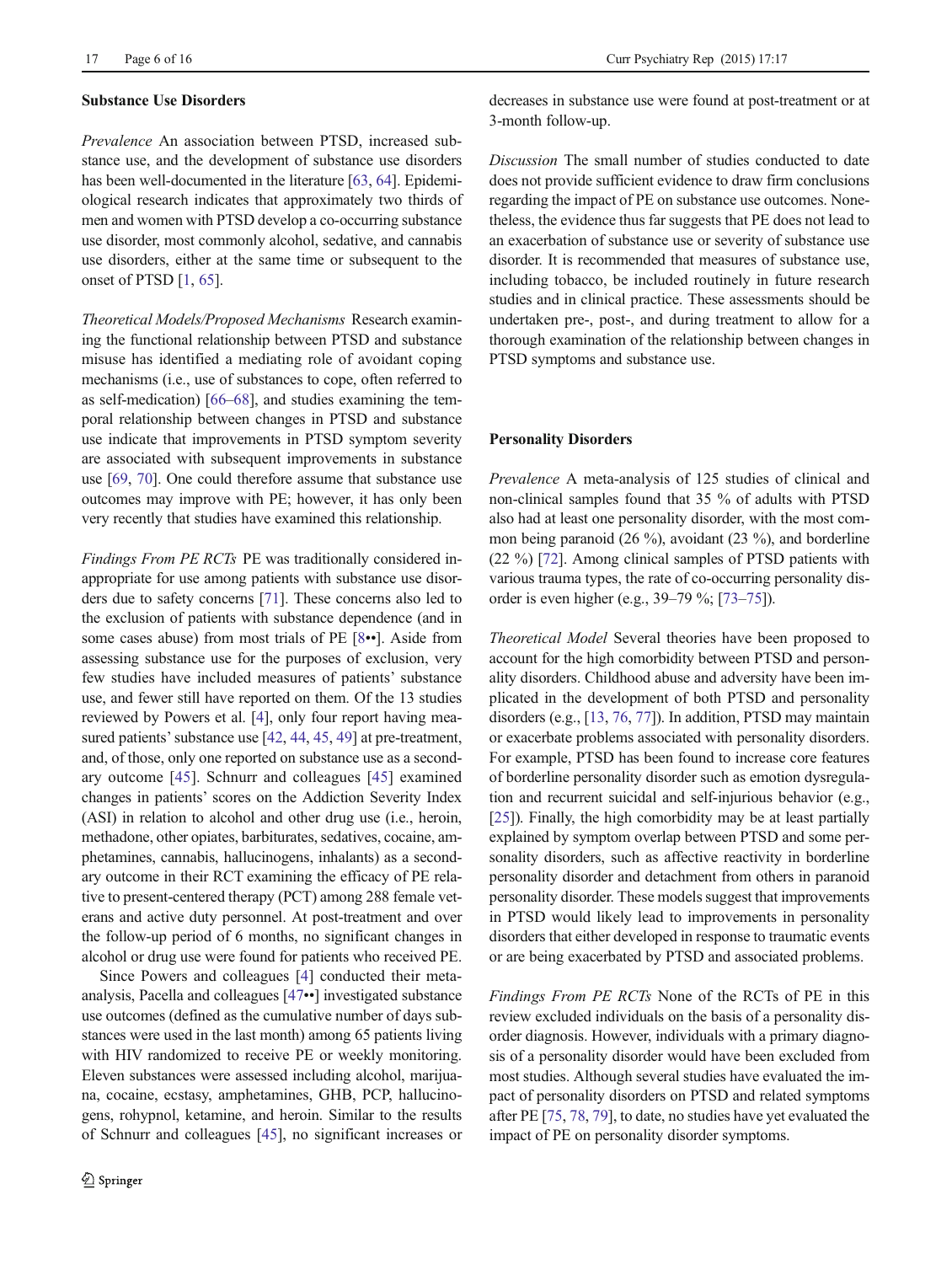#### Substance Use Disorders

Prevalence An association between PTSD, increased substance use, and the development of substance use disorders has been well-documented in the literature [[63,](#page-14-0) [64](#page-14-0)]. Epidemiological research indicates that approximately two thirds of men and women with PTSD develop a co-occurring substance use disorder, most commonly alcohol, sedative, and cannabis use disorders, either at the same time or subsequent to the onset of PTSD [\[1](#page-12-0), [65](#page-14-0)].

Theoretical Models/Proposed Mechanisms Research examining the functional relationship between PTSD and substance misuse has identified a mediating role of avoidant coping mechanisms (i.e., use of substances to cope, often referred to as self-medication) [[66](#page-14-0)–[68](#page-14-0)], and studies examining the temporal relationship between changes in PTSD and substance use indicate that improvements in PTSD symptom severity are associated with subsequent improvements in substance use [\[69](#page-14-0), [70](#page-14-0)]. One could therefore assume that substance use outcomes may improve with PE; however, it has only been very recently that studies have examined this relationship.

Findings From PE RCTs PE was traditionally considered inappropriate for use among patients with substance use disorders due to safety concerns [\[71](#page-14-0)]. These concerns also led to the exclusion of patients with substance dependence (and in some cases abuse) from most trials of PE [[8](#page-12-0)••]. Aside from assessing substance use for the purposes of exclusion, very few studies have included measures of patients' substance use, and fewer still have reported on them. Of the 13 studies reviewed by Powers et al. [\[4](#page-12-0)], only four report having mea-sured patients' substance use [\[42,](#page-13-0) [44](#page-13-0), [45,](#page-13-0) [49](#page-13-0)] at pre-treatment, and, of those, only one reported on substance use as a secondary outcome [\[45\]](#page-13-0). Schnurr and colleagues [[45\]](#page-13-0) examined changes in patients' scores on the Addiction Severity Index (ASI) in relation to alcohol and other drug use (i.e., heroin, methadone, other opiates, barbiturates, sedatives, cocaine, amphetamines, cannabis, hallucinogens, inhalants) as a secondary outcome in their RCT examining the efficacy of PE relative to present-centered therapy (PCT) among 288 female veterans and active duty personnel. At post-treatment and over the follow-up period of 6 months, no significant changes in alcohol or drug use were found for patients who received PE.

Since Powers and colleagues [\[4](#page-12-0)] conducted their metaanalysis, Pacella and colleagues [\[47](#page-13-0)••] investigated substance use outcomes (defined as the cumulative number of days substances were used in the last month) among 65 patients living with HIV randomized to receive PE or weekly monitoring. Eleven substances were assessed including alcohol, marijuana, cocaine, ecstasy, amphetamines, GHB, PCP, hallucinogens, rohypnol, ketamine, and heroin. Similar to the results of Schnurr and colleagues [[45\]](#page-13-0), no significant increases or decreases in substance use were found at post-treatment or at 3-month follow-up.

Discussion The small number of studies conducted to date does not provide sufficient evidence to draw firm conclusions regarding the impact of PE on substance use outcomes. Nonetheless, the evidence thus far suggests that PE does not lead to an exacerbation of substance use or severity of substance use disorder. It is recommended that measures of substance use, including tobacco, be included routinely in future research studies and in clinical practice. These assessments should be undertaken pre-, post-, and during treatment to allow for a thorough examination of the relationship between changes in PTSD symptoms and substance use.

#### Personality Disorders

Prevalence A meta-analysis of 125 studies of clinical and non-clinical samples found that 35 % of adults with PTSD also had at least one personality disorder, with the most common being paranoid (26 %), avoidant (23 %), and borderline (22 %) [[72](#page-14-0)]. Among clinical samples of PTSD patients with various trauma types, the rate of co-occurring personality disorder is even higher (e.g., 39–79 %; [\[73](#page-14-0)–[75\]](#page-14-0)).

Theoretical Model Several theories have been proposed to account for the high comorbidity between PTSD and personality disorders. Childhood abuse and adversity have been implicated in the development of both PTSD and personality disorders (e.g., [[13](#page-12-0), [76,](#page-14-0) [77\]](#page-14-0)). In addition, PTSD may maintain or exacerbate problems associated with personality disorders. For example, PTSD has been found to increase core features of borderline personality disorder such as emotion dysregulation and recurrent suicidal and self-injurious behavior (e.g., [\[25](#page-13-0)]). Finally, the high comorbidity may be at least partially explained by symptom overlap between PTSD and some personality disorders, such as affective reactivity in borderline personality disorder and detachment from others in paranoid personality disorder. These models suggest that improvements in PTSD would likely lead to improvements in personality disorders that either developed in response to traumatic events or are being exacerbated by PTSD and associated problems.

Findings From PE RCTs None of the RCTs of PE in this review excluded individuals on the basis of a personality disorder diagnosis. However, individuals with a primary diagnosis of a personality disorder would have been excluded from most studies. Although several studies have evaluated the impact of personality disorders on PTSD and related symptoms after PE [\[75](#page-14-0), [78](#page-14-0), [79\]](#page-14-0), to date, no studies have yet evaluated the impact of PE on personality disorder symptoms.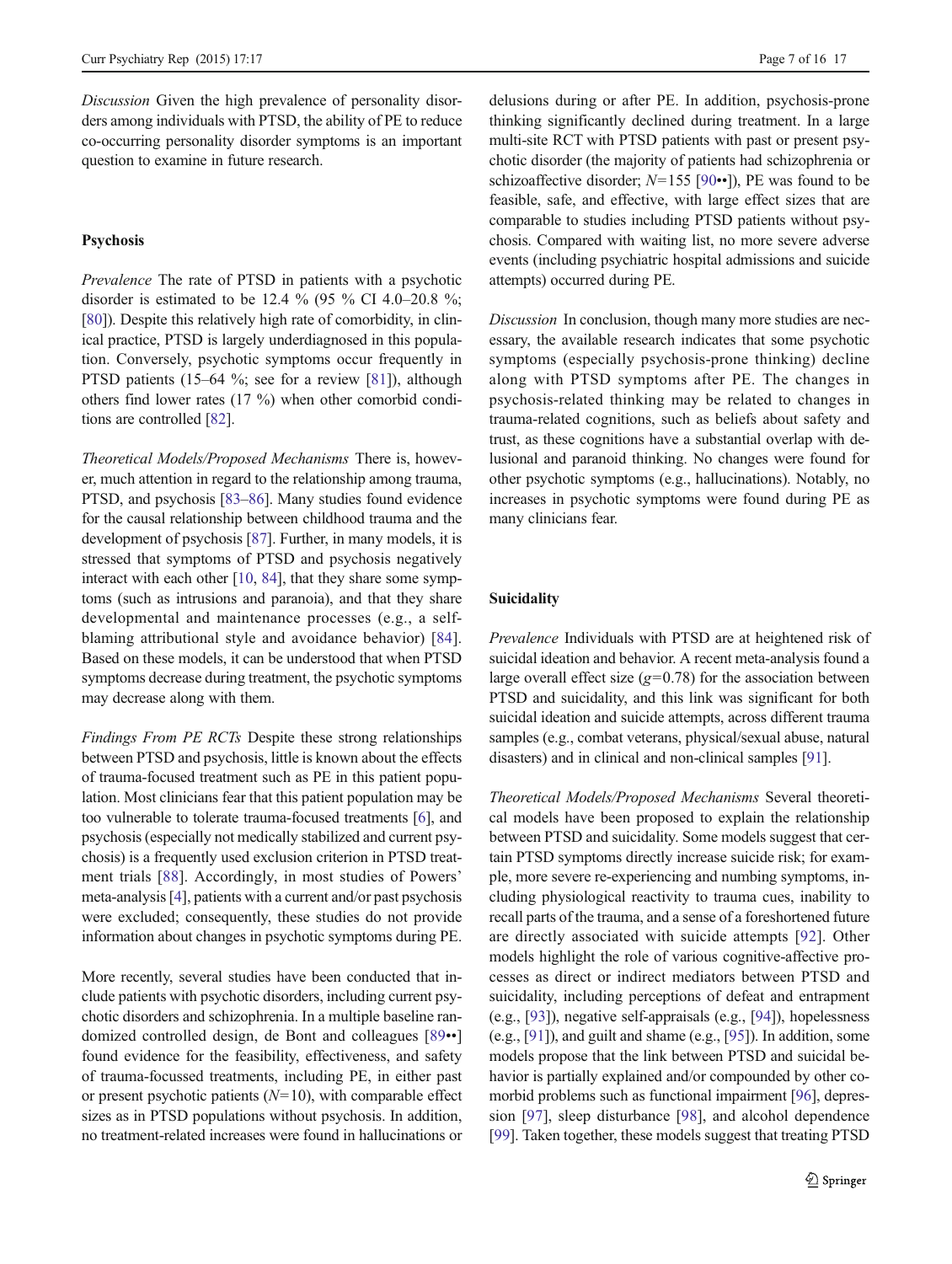Discussion Given the high prevalence of personality disorders among individuals with PTSD, the ability of PE to reduce co-occurring personality disorder symptoms is an important question to examine in future research.

# Psychosis

Prevalence The rate of PTSD in patients with a psychotic disorder is estimated to be 12.4 % (95 % CI 4.0–20.8 %; [\[80\]](#page-14-0)). Despite this relatively high rate of comorbidity, in clinical practice, PTSD is largely underdiagnosed in this population. Conversely, psychotic symptoms occur frequently in PTSD patients (15–64 %; see for a review [\[81](#page-14-0)]), although others find lower rates (17 %) when other comorbid conditions are controlled [[82](#page-14-0)].

Theoretical Models/Proposed Mechanisms There is, however, much attention in regard to the relationship among trauma, PTSD, and psychosis [[83](#page-14-0)–[86](#page-14-0)]. Many studies found evidence for the causal relationship between childhood trauma and the development of psychosis [\[87](#page-14-0)]. Further, in many models, it is stressed that symptoms of PTSD and psychosis negatively interact with each other [[10](#page-12-0), [84](#page-14-0)], that they share some symptoms (such as intrusions and paranoia), and that they share developmental and maintenance processes (e.g., a selfblaming attributional style and avoidance behavior) [\[84](#page-14-0)]. Based on these models, it can be understood that when PTSD symptoms decrease during treatment, the psychotic symptoms may decrease along with them.

Findings From PE RCTs Despite these strong relationships between PTSD and psychosis, little is known about the effects of trauma-focused treatment such as PE in this patient population. Most clinicians fear that this patient population may be too vulnerable to tolerate trauma-focused treatments [[6](#page-12-0)], and psychosis (especially not medically stabilized and current psychosis) is a frequently used exclusion criterion in PTSD treatment trials [[88\]](#page-14-0). Accordingly, in most studies of Powers' meta-analysis [[4\]](#page-12-0), patients with a current and/or past psychosis were excluded; consequently, these studies do not provide information about changes in psychotic symptoms during PE.

More recently, several studies have been conducted that include patients with psychotic disorders, including current psychotic disorders and schizophrenia. In a multiple baseline randomized controlled design, de Bont and colleagues [[89](#page-14-0)••] found evidence for the feasibility, effectiveness, and safety of trauma-focussed treatments, including PE, in either past or present psychotic patients  $(N=10)$ , with comparable effect sizes as in PTSD populations without psychosis. In addition, no treatment-related increases were found in hallucinations or delusions during or after PE. In addition, psychosis-prone thinking significantly declined during treatment. In a large multi-site RCT with PTSD patients with past or present psychotic disorder (the majority of patients had schizophrenia or schizoaffective disorder;  $N=155$  [[90](#page-14-0)••]), PE was found to be feasible, safe, and effective, with large effect sizes that are comparable to studies including PTSD patients without psychosis. Compared with waiting list, no more severe adverse events (including psychiatric hospital admissions and suicide attempts) occurred during PE.

Discussion In conclusion, though many more studies are necessary, the available research indicates that some psychotic symptoms (especially psychosis-prone thinking) decline along with PTSD symptoms after PE. The changes in psychosis-related thinking may be related to changes in trauma-related cognitions, such as beliefs about safety and trust, as these cognitions have a substantial overlap with delusional and paranoid thinking. No changes were found for other psychotic symptoms (e.g., hallucinations). Notably, no increases in psychotic symptoms were found during PE as many clinicians fear.

# Suicidality

Prevalence Individuals with PTSD are at heightened risk of suicidal ideation and behavior. A recent meta-analysis found a large overall effect size  $(g=0.78)$  for the association between PTSD and suicidality, and this link was significant for both suicidal ideation and suicide attempts, across different trauma samples (e.g., combat veterans, physical/sexual abuse, natural disasters) and in clinical and non-clinical samples [\[91\]](#page-14-0).

Theoretical Models/Proposed Mechanisms Several theoretical models have been proposed to explain the relationship between PTSD and suicidality. Some models suggest that certain PTSD symptoms directly increase suicide risk; for example, more severe re-experiencing and numbing symptoms, including physiological reactivity to trauma cues, inability to recall parts of the trauma, and a sense of a foreshortened future are directly associated with suicide attempts [[92](#page-14-0)]. Other models highlight the role of various cognitive-affective processes as direct or indirect mediators between PTSD and suicidality, including perceptions of defeat and entrapment (e.g., [[93\]](#page-14-0)), negative self-appraisals (e.g., [[94\]](#page-14-0)), hopelessness (e.g., [\[91\]](#page-14-0)), and guilt and shame (e.g., [\[95](#page-14-0)]). In addition, some models propose that the link between PTSD and suicidal behavior is partially explained and/or compounded by other comorbid problems such as functional impairment [\[96\]](#page-14-0), depression [[97\]](#page-14-0), sleep disturbance [\[98](#page-14-0)], and alcohol dependence [\[99](#page-14-0)]. Taken together, these models suggest that treating PTSD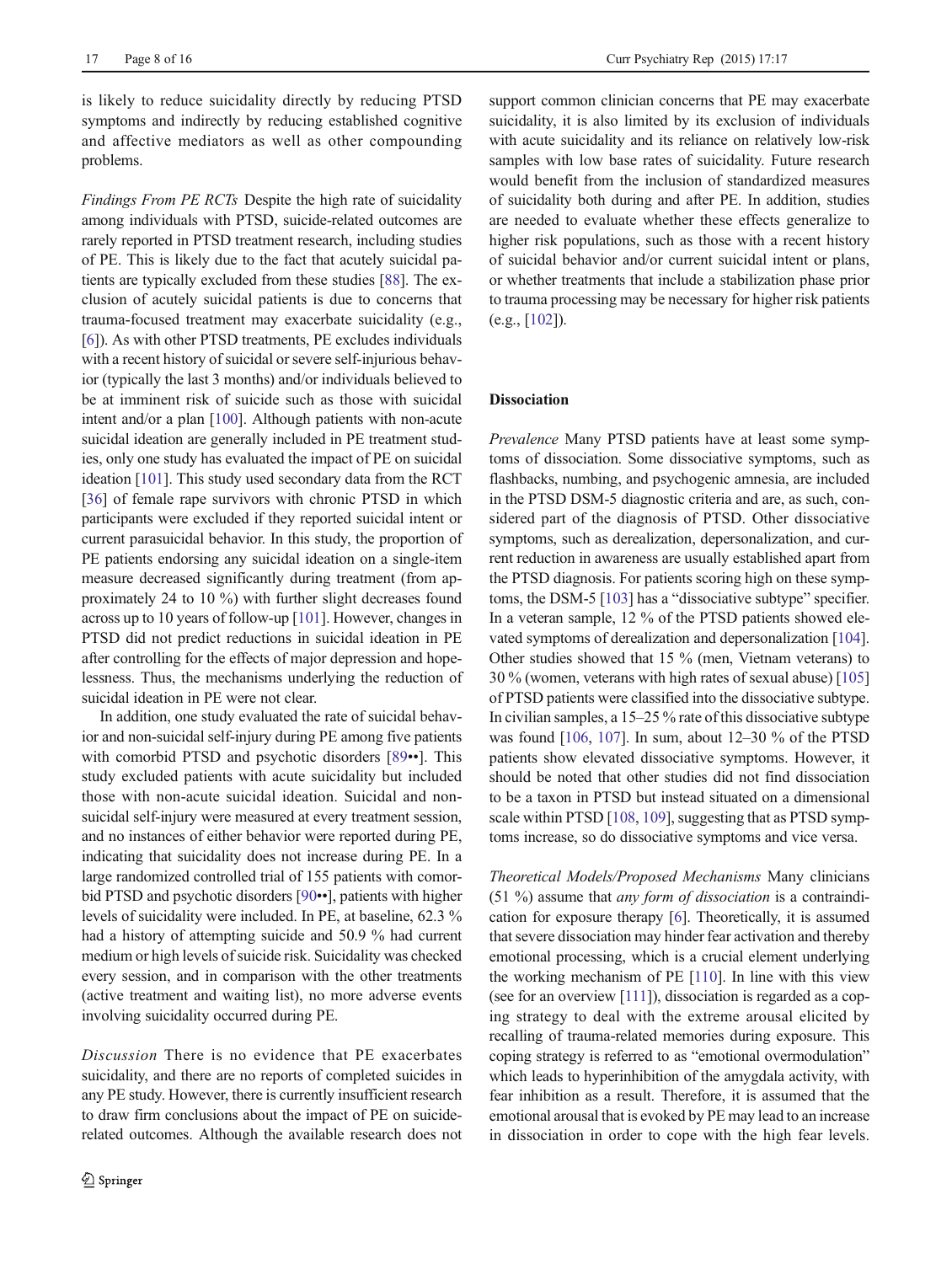is likely to reduce suicidality directly by reducing PTSD symptoms and indirectly by reducing established cognitive and affective mediators as well as other compounding problems.

Findings From PE RCTs Despite the high rate of suicidality among individuals with PTSD, suicide-related outcomes are rarely reported in PTSD treatment research, including studies of PE. This is likely due to the fact that acutely suicidal patients are typically excluded from these studies [[88](#page-14-0)]. The exclusion of acutely suicidal patients is due to concerns that trauma-focused treatment may exacerbate suicidality (e.g., [\[6](#page-12-0)]). As with other PTSD treatments, PE excludes individuals with a recent history of suicidal or severe self-injurious behavior (typically the last 3 months) and/or individuals believed to be at imminent risk of suicide such as those with suicidal intent and/or a plan [\[100\]](#page-15-0). Although patients with non-acute suicidal ideation are generally included in PE treatment studies, only one study has evaluated the impact of PE on suicidal ideation [[101](#page-15-0)]. This study used secondary data from the RCT [\[36](#page-13-0)] of female rape survivors with chronic PTSD in which participants were excluded if they reported suicidal intent or current parasuicidal behavior. In this study, the proportion of PE patients endorsing any suicidal ideation on a single-item measure decreased significantly during treatment (from approximately 24 to 10 %) with further slight decreases found across up to 10 years of follow-up [\[101\]](#page-15-0). However, changes in PTSD did not predict reductions in suicidal ideation in PE after controlling for the effects of major depression and hopelessness. Thus, the mechanisms underlying the reduction of suicidal ideation in PE were not clear.

In addition, one study evaluated the rate of suicidal behavior and non-suicidal self-injury during PE among five patients with comorbid PTSD and psychotic disorders [\[89](#page-14-0)••]. This study excluded patients with acute suicidality but included those with non-acute suicidal ideation. Suicidal and nonsuicidal self-injury were measured at every treatment session, and no instances of either behavior were reported during PE, indicating that suicidality does not increase during PE. In a large randomized controlled trial of 155 patients with comorbid PTSD and psychotic disorders [\[90](#page-14-0)••], patients with higher levels of suicidality were included. In PE, at baseline, 62.3 % had a history of attempting suicide and 50.9 % had current medium or high levels of suicide risk. Suicidality was checked every session, and in comparison with the other treatments (active treatment and waiting list), no more adverse events involving suicidality occurred during PE.

Discussion There is no evidence that PE exacerbates suicidality, and there are no reports of completed suicides in any PE study. However, there is currently insufficient research to draw firm conclusions about the impact of PE on suiciderelated outcomes. Although the available research does not support common clinician concerns that PE may exacerbate suicidality, it is also limited by its exclusion of individuals with acute suicidality and its reliance on relatively low-risk samples with low base rates of suicidality. Future research would benefit from the inclusion of standardized measures of suicidality both during and after PE. In addition, studies are needed to evaluate whether these effects generalize to higher risk populations, such as those with a recent history of suicidal behavior and/or current suicidal intent or plans, or whether treatments that include a stabilization phase prior to trauma processing may be necessary for higher risk patients (e.g., [\[102](#page-15-0)]).

# Dissociation

Prevalence Many PTSD patients have at least some symptoms of dissociation. Some dissociative symptoms, such as flashbacks, numbing, and psychogenic amnesia, are included in the PTSD DSM-5 diagnostic criteria and are, as such, considered part of the diagnosis of PTSD. Other dissociative symptoms, such as derealization, depersonalization, and current reduction in awareness are usually established apart from the PTSD diagnosis. For patients scoring high on these symptoms, the DSM-5 [[103](#page-15-0)] has a "dissociative subtype" specifier. In a veteran sample, 12 % of the PTSD patients showed elevated symptoms of derealization and depersonalization [\[104\]](#page-15-0). Other studies showed that 15 % (men, Vietnam veterans) to 30 % (women, veterans with high rates of sexual abuse) [\[105](#page-15-0)] of PTSD patients were classified into the dissociative subtype. In civilian samples, a 15–25 % rate of this dissociative subtype was found [\[106](#page-15-0), [107](#page-15-0)]. In sum, about 12–30 % of the PTSD patients show elevated dissociative symptoms. However, it should be noted that other studies did not find dissociation to be a taxon in PTSD but instead situated on a dimensional scale within PTSD [\[108,](#page-15-0) [109\]](#page-15-0), suggesting that as PTSD symptoms increase, so do dissociative symptoms and vice versa.

Theoretical Models/Proposed Mechanisms Many clinicians (51 %) assume that any form of dissociation is a contraindication for exposure therapy [[6\]](#page-12-0). Theoretically, it is assumed that severe dissociation may hinder fear activation and thereby emotional processing, which is a crucial element underlying the working mechanism of PE [\[110\]](#page-15-0). In line with this view (see for an overview [\[111](#page-15-0)]), dissociation is regarded as a coping strategy to deal with the extreme arousal elicited by recalling of trauma-related memories during exposure. This coping strategy is referred to as "emotional overmodulation" which leads to hyperinhibition of the amygdala activity, with fear inhibition as a result. Therefore, it is assumed that the emotional arousal that is evoked by PE may lead to an increase in dissociation in order to cope with the high fear levels.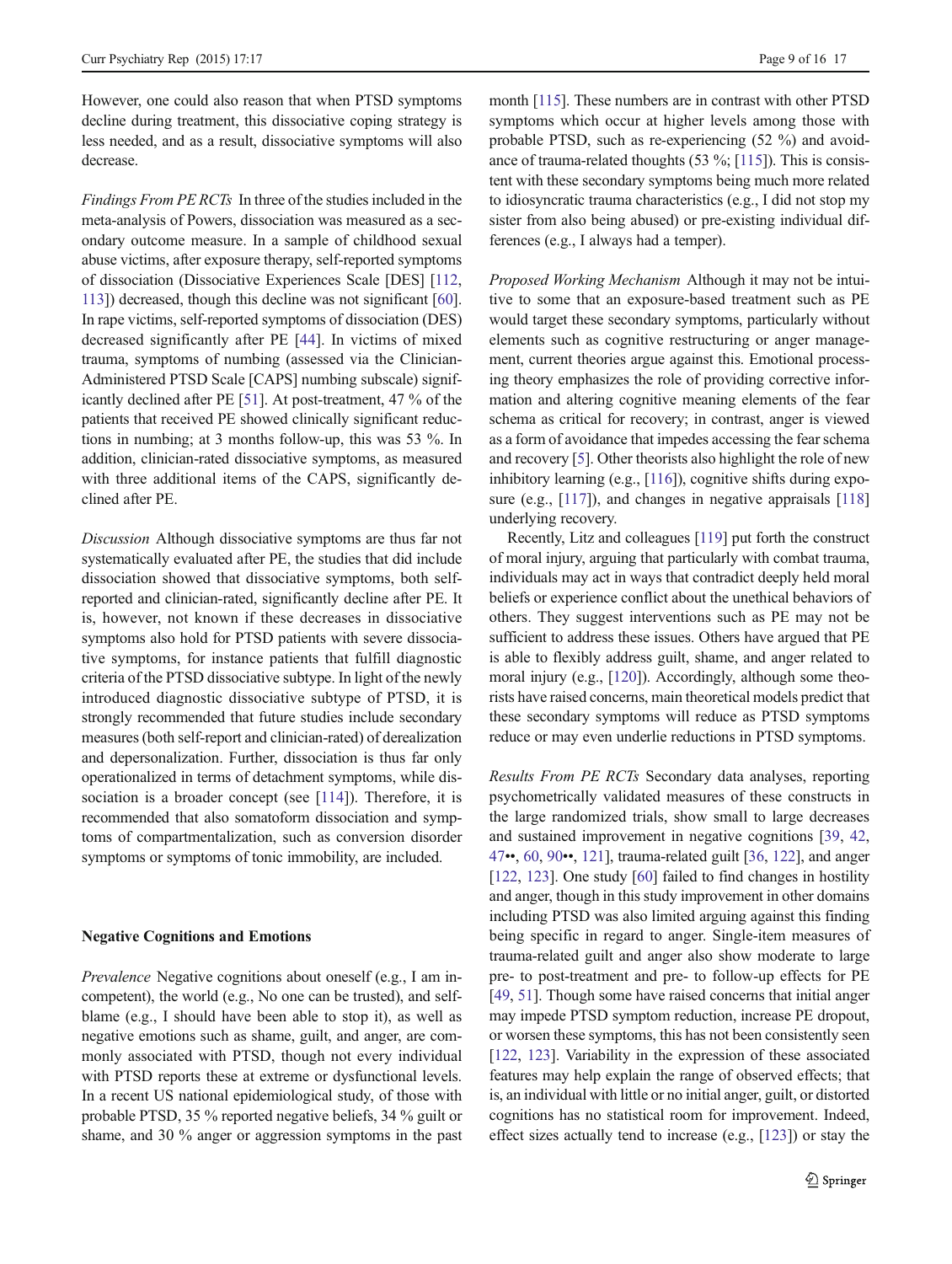However, one could also reason that when PTSD symptoms decline during treatment, this dissociative coping strategy is less needed, and as a result, dissociative symptoms will also decrease.

Findings From PE RCTs In three of the studies included in the meta-analysis of Powers, dissociation was measured as a secondary outcome measure. In a sample of childhood sexual abuse victims, after exposure therapy, self-reported symptoms of dissociation (Dissociative Experiences Scale [DES] [\[112,](#page-15-0) [113](#page-15-0)]) decreased, though this decline was not significant [[60\]](#page-13-0). In rape victims, self-reported symptoms of dissociation (DES) decreased significantly after PE [[44\]](#page-13-0). In victims of mixed trauma, symptoms of numbing (assessed via the Clinician-Administered PTSD Scale [CAPS] numbing subscale) significantly declined after PE [\[51](#page-13-0)]. At post-treatment, 47 % of the patients that received PE showed clinically significant reductions in numbing; at 3 months follow-up, this was 53 %. In addition, clinician-rated dissociative symptoms, as measured with three additional items of the CAPS, significantly declined after PE.

Discussion Although dissociative symptoms are thus far not systematically evaluated after PE, the studies that did include dissociation showed that dissociative symptoms, both selfreported and clinician-rated, significantly decline after PE. It is, however, not known if these decreases in dissociative symptoms also hold for PTSD patients with severe dissociative symptoms, for instance patients that fulfill diagnostic criteria of the PTSD dissociative subtype. In light of the newly introduced diagnostic dissociative subtype of PTSD, it is strongly recommended that future studies include secondary measures (both self-report and clinician-rated) of derealization and depersonalization. Further, dissociation is thus far only operationalized in terms of detachment symptoms, while dis-sociation is a broader concept (see [[114](#page-15-0)]). Therefore, it is recommended that also somatoform dissociation and symptoms of compartmentalization, such as conversion disorder symptoms or symptoms of tonic immobility, are included.

#### Negative Cognitions and Emotions

Prevalence Negative cognitions about oneself (e.g., I am incompetent), the world (e.g., No one can be trusted), and selfblame (e.g., I should have been able to stop it), as well as negative emotions such as shame, guilt, and anger, are commonly associated with PTSD, though not every individual with PTSD reports these at extreme or dysfunctional levels. In a recent US national epidemiological study, of those with probable PTSD, 35 % reported negative beliefs, 34 % guilt or shame, and 30 % anger or aggression symptoms in the past

month [[115](#page-15-0)]. These numbers are in contrast with other PTSD symptoms which occur at higher levels among those with probable PTSD, such as re-experiencing (52 %) and avoidance of trauma-related thoughts (53 %; [[115](#page-15-0)]). This is consistent with these secondary symptoms being much more related to idiosyncratic trauma characteristics (e.g., I did not stop my sister from also being abused) or pre-existing individual differences (e.g., I always had a temper).

Proposed Working Mechanism Although it may not be intuitive to some that an exposure-based treatment such as PE would target these secondary symptoms, particularly without elements such as cognitive restructuring or anger management, current theories argue against this. Emotional processing theory emphasizes the role of providing corrective information and altering cognitive meaning elements of the fear schema as critical for recovery; in contrast, anger is viewed as a form of avoidance that impedes accessing the fear schema and recovery [\[5](#page-12-0)]. Other theorists also highlight the role of new inhibitory learning (e.g., [\[116\]](#page-15-0)), cognitive shifts during expo-sure (e.g., [[117](#page-15-0)]), and changes in negative appraisals [[118](#page-15-0)] underlying recovery.

Recently, Litz and colleagues [[119](#page-15-0)] put forth the construct of moral injury, arguing that particularly with combat trauma, individuals may act in ways that contradict deeply held moral beliefs or experience conflict about the unethical behaviors of others. They suggest interventions such as PE may not be sufficient to address these issues. Others have argued that PE is able to flexibly address guilt, shame, and anger related to moral injury (e.g., [[120](#page-15-0)]). Accordingly, although some theorists have raised concerns, main theoretical models predict that these secondary symptoms will reduce as PTSD symptoms reduce or may even underlie reductions in PTSD symptoms.

Results From PE RCTs Secondary data analyses, reporting psychometrically validated measures of these constructs in the large randomized trials, show small to large decreases and sustained improvement in negative cognitions [[39,](#page-13-0) [42,](#page-13-0) [47](#page-13-0)••, [60](#page-13-0), [90](#page-14-0)••, [121](#page-15-0)], trauma-related guilt [\[36](#page-13-0), [122\]](#page-15-0), and anger [\[122,](#page-15-0) [123\]](#page-15-0). One study [[60](#page-13-0)] failed to find changes in hostility and anger, though in this study improvement in other domains including PTSD was also limited arguing against this finding being specific in regard to anger. Single-item measures of trauma-related guilt and anger also show moderate to large pre- to post-treatment and pre- to follow-up effects for PE [\[49](#page-13-0), [51\]](#page-13-0). Though some have raised concerns that initial anger may impede PTSD symptom reduction, increase PE dropout, or worsen these symptoms, this has not been consistently seen [\[122,](#page-15-0) [123\]](#page-15-0). Variability in the expression of these associated features may help explain the range of observed effects; that is, an individual with little or no initial anger, guilt, or distorted cognitions has no statistical room for improvement. Indeed, effect sizes actually tend to increase (e.g., [\[123\]](#page-15-0)) or stay the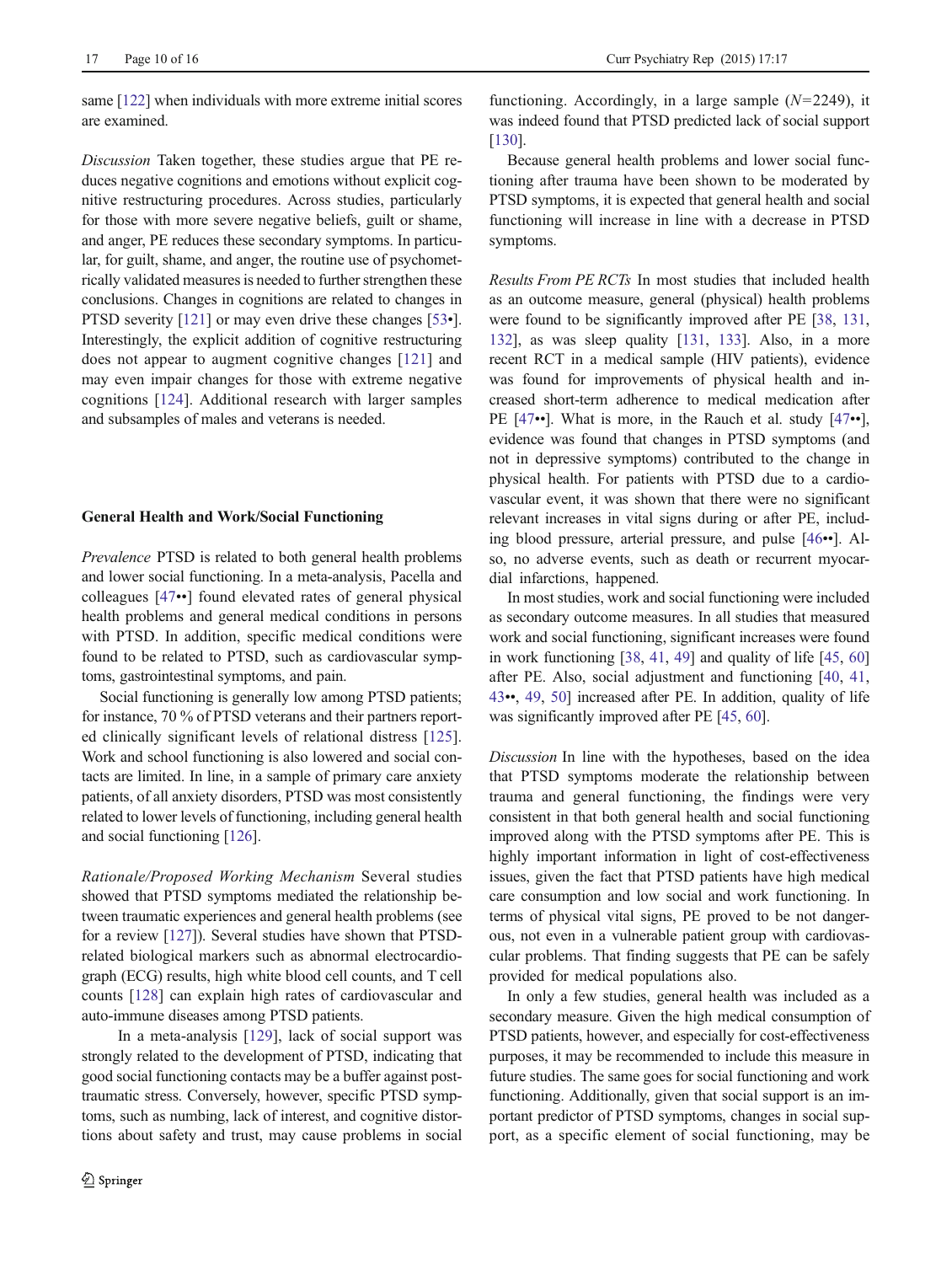same [\[122](#page-15-0)] when individuals with more extreme initial scores are examined.

Discussion Taken together, these studies argue that PE reduces negative cognitions and emotions without explicit cognitive restructuring procedures. Across studies, particularly for those with more severe negative beliefs, guilt or shame, and anger, PE reduces these secondary symptoms. In particular, for guilt, shame, and anger, the routine use of psychometrically validated measures is needed to further strengthen these conclusions. Changes in cognitions are related to changes in PTSD severity [\[121](#page-15-0)] or may even drive these changes [\[53](#page-13-0)•]. Interestingly, the explicit addition of cognitive restructuring does not appear to augment cognitive changes [\[121](#page-15-0)] and may even impair changes for those with extreme negative cognitions [[124](#page-15-0)]. Additional research with larger samples and subsamples of males and veterans is needed.

#### General Health and Work/Social Functioning

Prevalence PTSD is related to both general health problems and lower social functioning. In a meta-analysis, Pacella and colleagues [\[47](#page-13-0)••] found elevated rates of general physical health problems and general medical conditions in persons with PTSD. In addition, specific medical conditions were found to be related to PTSD, such as cardiovascular symptoms, gastrointestinal symptoms, and pain.

Social functioning is generally low among PTSD patients; for instance, 70 % of PTSD veterans and their partners reported clinically significant levels of relational distress [\[125](#page-15-0)]. Work and school functioning is also lowered and social contacts are limited. In line, in a sample of primary care anxiety patients, of all anxiety disorders, PTSD was most consistently related to lower levels of functioning, including general health and social functioning [\[126\]](#page-15-0).

Rationale/Proposed Working Mechanism Several studies showed that PTSD symptoms mediated the relationship between traumatic experiences and general health problems (see for a review [[127](#page-15-0)]). Several studies have shown that PTSDrelated biological markers such as abnormal electrocardiograph (ECG) results, high white blood cell counts, and T cell counts [\[128](#page-15-0)] can explain high rates of cardiovascular and auto-immune diseases among PTSD patients.

In a meta-analysis [[129\]](#page-15-0), lack of social support was strongly related to the development of PTSD, indicating that good social functioning contacts may be a buffer against posttraumatic stress. Conversely, however, specific PTSD symptoms, such as numbing, lack of interest, and cognitive distortions about safety and trust, may cause problems in social

functioning. Accordingly, in a large sample  $(N=2249)$ , it was indeed found that PTSD predicted lack of social support [\[130\]](#page-15-0).

Because general health problems and lower social functioning after trauma have been shown to be moderated by PTSD symptoms, it is expected that general health and social functioning will increase in line with a decrease in PTSD symptoms.

Results From PE RCTs In most studies that included health as an outcome measure, general (physical) health problems were found to be significantly improved after PE [\[38,](#page-13-0) [131,](#page-15-0) [132\]](#page-15-0), as was sleep quality [[131,](#page-15-0) [133](#page-15-0)]. Also, in a more recent RCT in a medical sample (HIV patients), evidence was found for improvements of physical health and increased short-term adherence to medical medication after PE [[47](#page-13-0)••]. What is more, in the Rauch et al. study [\[47](#page-13-0)••], evidence was found that changes in PTSD symptoms (and not in depressive symptoms) contributed to the change in physical health. For patients with PTSD due to a cardiovascular event, it was shown that there were no significant relevant increases in vital signs during or after PE, including blood pressure, arterial pressure, and pulse [\[46](#page-13-0)••]. Also, no adverse events, such as death or recurrent myocardial infarctions, happened.

In most studies, work and social functioning were included as secondary outcome measures. In all studies that measured work and social functioning, significant increases were found in work functioning [\[38,](#page-13-0) [41](#page-13-0), [49\]](#page-13-0) and quality of life [[45,](#page-13-0) [60](#page-13-0)] after PE. Also, social adjustment and functioning [[40](#page-13-0), [41,](#page-13-0) [43](#page-13-0)••, [49,](#page-13-0) [50](#page-13-0)] increased after PE. In addition, quality of life was significantly improved after PE [[45](#page-13-0), [60](#page-13-0)].

Discussion In line with the hypotheses, based on the idea that PTSD symptoms moderate the relationship between trauma and general functioning, the findings were very consistent in that both general health and social functioning improved along with the PTSD symptoms after PE. This is highly important information in light of cost-effectiveness issues, given the fact that PTSD patients have high medical care consumption and low social and work functioning. In terms of physical vital signs, PE proved to be not dangerous, not even in a vulnerable patient group with cardiovascular problems. That finding suggests that PE can be safely provided for medical populations also.

In only a few studies, general health was included as a secondary measure. Given the high medical consumption of PTSD patients, however, and especially for cost-effectiveness purposes, it may be recommended to include this measure in future studies. The same goes for social functioning and work functioning. Additionally, given that social support is an important predictor of PTSD symptoms, changes in social support, as a specific element of social functioning, may be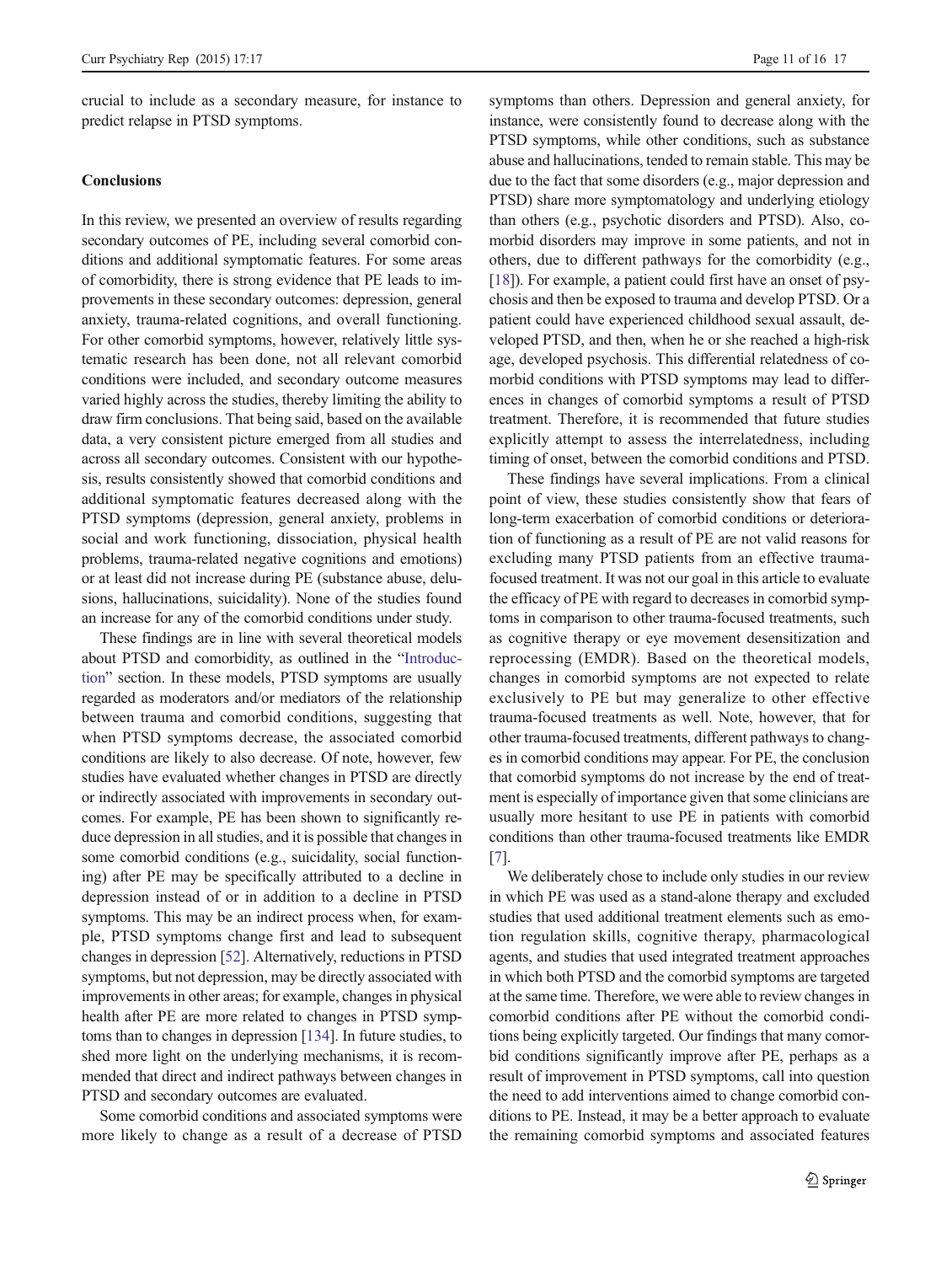crucial to include as a secondary measure, for instance to predict relapse in PTSD symptoms.

# **Conclusions**

In this review, we presented an overview of results regarding secondary outcomes of PE, including several comorbid conditions and additional symptomatic features. For some areas of comorbidity, there is strong evidence that PE leads to improvements in these secondary outcomes: depression, general anxiety, trauma-related cognitions, and overall functioning. For other comorbid symptoms, however, relatively little systematic research has been done, not all relevant comorbid conditions were included, and secondary outcome measures varied highly across the studies, thereby limiting the ability to draw firm conclusions. That being said, based on the available data, a very consistent picture emerged from all studies and across all secondary outcomes. Consistent with our hypothesis, results consistently showed that comorbid conditions and additional symptomatic features decreased along with the PTSD symptoms (depression, general anxiety, problems in social and work functioning, dissociation, physical health problems, trauma-related negative cognitions and emotions) or at least did not increase during PE (substance abuse, delusions, hallucinations, suicidality). None of the studies found an increase for any of the comorbid conditions under study.

These findings are in line with several theoretical models about PTSD and comorbidity, as outlined in the "[Introduc](#page-0-0)[tion](#page-0-0)" section. In these models, PTSD symptoms are usually regarded as moderators and/or mediators of the relationship between trauma and comorbid conditions, suggesting that when PTSD symptoms decrease, the associated comorbid conditions are likely to also decrease. Of note, however, few studies have evaluated whether changes in PTSD are directly or indirectly associated with improvements in secondary outcomes. For example, PE has been shown to significantly reduce depression in all studies, and it is possible that changes in some comorbid conditions (e.g., suicidality, social functioning) after PE may be specifically attributed to a decline in depression instead of or in addition to a decline in PTSD symptoms. This may be an indirect process when, for example, PTSD symptoms change first and lead to subsequent changes in depression [[52\]](#page-13-0). Alternatively, reductions in PTSD symptoms, but not depression, may be directly associated with improvements in other areas; for example, changes in physical health after PE are more related to changes in PTSD symptoms than to changes in depression [[134](#page-15-0)]. In future studies, to shed more light on the underlying mechanisms, it is recommended that direct and indirect pathways between changes in PTSD and secondary outcomes are evaluated.

Some comorbid conditions and associated symptoms were more likely to change as a result of a decrease of PTSD symptoms than others. Depression and general anxiety, for instance, were consistently found to decrease along with the PTSD symptoms, while other conditions, such as substance abuse and hallucinations, tended to remain stable. This may be due to the fact that some disorders (e.g., major depression and PTSD) share more symptomatology and underlying etiology than others (e.g., psychotic disorders and PTSD). Also, comorbid disorders may improve in some patients, and not in others, due to different pathways for the comorbidity (e.g., [\[18](#page-12-0)]). For example, a patient could first have an onset of psychosis and then be exposed to trauma and develop PTSD. Or a patient could have experienced childhood sexual assault, developed PTSD, and then, when he or she reached a high-risk age, developed psychosis. This differential relatedness of comorbid conditions with PTSD symptoms may lead to differences in changes of comorbid symptoms a result of PTSD treatment. Therefore, it is recommended that future studies explicitly attempt to assess the interrelatedness, including timing of onset, between the comorbid conditions and PTSD.

These findings have several implications. From a clinical point of view, these studies consistently show that fears of long-term exacerbation of comorbid conditions or deterioration of functioning as a result of PE are not valid reasons for excluding many PTSD patients from an effective traumafocused treatment. It was not our goal in this article to evaluate the efficacy of PE with regard to decreases in comorbid symptoms in comparison to other trauma-focused treatments, such as cognitive therapy or eye movement desensitization and reprocessing (EMDR). Based on the theoretical models, changes in comorbid symptoms are not expected to relate exclusively to PE but may generalize to other effective trauma-focused treatments as well. Note, however, that for other trauma-focused treatments, different pathways to changes in comorbid conditions may appear. For PE, the conclusion that comorbid symptoms do not increase by the end of treatment is especially of importance given that some clinicians are usually more hesitant to use PE in patients with comorbid conditions than other trauma-focused treatments like EMDR [\[7](#page-12-0)].

We deliberately chose to include only studies in our review in which PE was used as a stand-alone therapy and excluded studies that used additional treatment elements such as emotion regulation skills, cognitive therapy, pharmacological agents, and studies that used integrated treatment approaches in which both PTSD and the comorbid symptoms are targeted at the same time. Therefore, we were able to review changes in comorbid conditions after PE without the comorbid conditions being explicitly targeted. Our findings that many comorbid conditions significantly improve after PE, perhaps as a result of improvement in PTSD symptoms, call into question the need to add interventions aimed to change comorbid conditions to PE. Instead, it may be a better approach to evaluate the remaining comorbid symptoms and associated features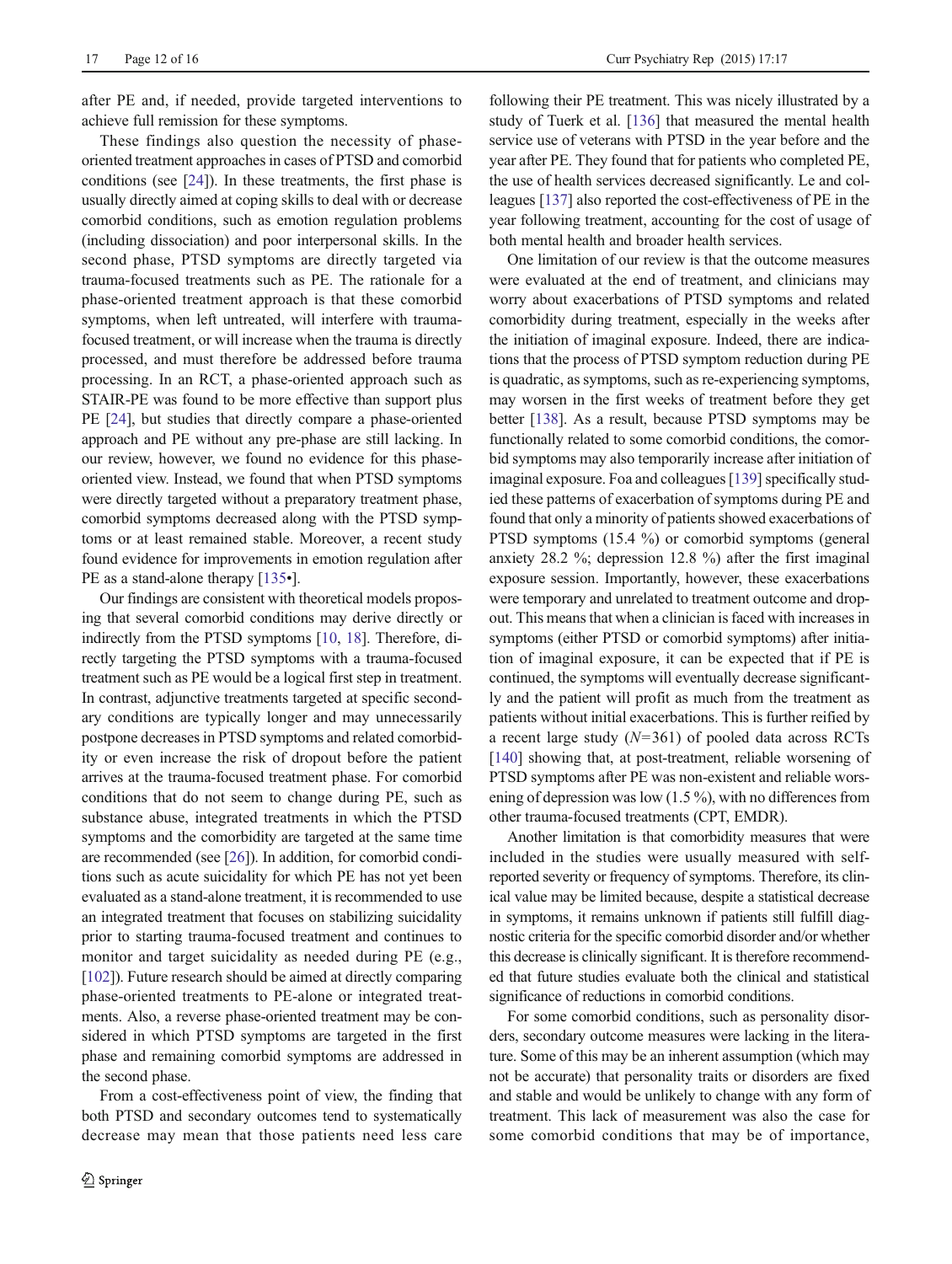after PE and, if needed, provide targeted interventions to achieve full remission for these symptoms.

These findings also question the necessity of phaseoriented treatment approaches in cases of PTSD and comorbid conditions (see [[24\]](#page-13-0)). In these treatments, the first phase is usually directly aimed at coping skills to deal with or decrease comorbid conditions, such as emotion regulation problems (including dissociation) and poor interpersonal skills. In the second phase, PTSD symptoms are directly targeted via trauma-focused treatments such as PE. The rationale for a phase-oriented treatment approach is that these comorbid symptoms, when left untreated, will interfere with traumafocused treatment, or will increase when the trauma is directly processed, and must therefore be addressed before trauma processing. In an RCT, a phase-oriented approach such as STAIR-PE was found to be more effective than support plus PE [\[24](#page-13-0)], but studies that directly compare a phase-oriented approach and PE without any pre-phase are still lacking. In our review, however, we found no evidence for this phaseoriented view. Instead, we found that when PTSD symptoms were directly targeted without a preparatory treatment phase, comorbid symptoms decreased along with the PTSD symptoms or at least remained stable. Moreover, a recent study found evidence for improvements in emotion regulation after PE as a stand-alone therapy [[135](#page-15-0)•].

Our findings are consistent with theoretical models proposing that several comorbid conditions may derive directly or indirectly from the PTSD symptoms [\[10,](#page-12-0) [18](#page-12-0)]. Therefore, directly targeting the PTSD symptoms with a trauma-focused treatment such as PE would be a logical first step in treatment. In contrast, adjunctive treatments targeted at specific secondary conditions are typically longer and may unnecessarily postpone decreases in PTSD symptoms and related comorbidity or even increase the risk of dropout before the patient arrives at the trauma-focused treatment phase. For comorbid conditions that do not seem to change during PE, such as substance abuse, integrated treatments in which the PTSD symptoms and the comorbidity are targeted at the same time are recommended (see [\[26](#page-13-0)]). In addition, for comorbid conditions such as acute suicidality for which PE has not yet been evaluated as a stand-alone treatment, it is recommended to use an integrated treatment that focuses on stabilizing suicidality prior to starting trauma-focused treatment and continues to monitor and target suicidality as needed during PE (e.g., [\[102\]](#page-15-0)). Future research should be aimed at directly comparing phase-oriented treatments to PE-alone or integrated treatments. Also, a reverse phase-oriented treatment may be considered in which PTSD symptoms are targeted in the first phase and remaining comorbid symptoms are addressed in the second phase.

From a cost-effectiveness point of view, the finding that both PTSD and secondary outcomes tend to systematically decrease may mean that those patients need less care

following their PE treatment. This was nicely illustrated by a study of Tuerk et al. [\[136](#page-15-0)] that measured the mental health service use of veterans with PTSD in the year before and the year after PE. They found that for patients who completed PE, the use of health services decreased significantly. Le and colleagues [[137](#page-15-0)] also reported the cost-effectiveness of PE in the year following treatment, accounting for the cost of usage of both mental health and broader health services.

One limitation of our review is that the outcome measures were evaluated at the end of treatment, and clinicians may worry about exacerbations of PTSD symptoms and related comorbidity during treatment, especially in the weeks after the initiation of imaginal exposure. Indeed, there are indications that the process of PTSD symptom reduction during PE is quadratic, as symptoms, such as re-experiencing symptoms, may worsen in the first weeks of treatment before they get better [[138\]](#page-15-0). As a result, because PTSD symptoms may be functionally related to some comorbid conditions, the comorbid symptoms may also temporarily increase after initiation of imaginal exposure. Foa and colleagues [\[139\]](#page-15-0) specifically studied these patterns of exacerbation of symptoms during PE and found that only a minority of patients showed exacerbations of PTSD symptoms (15.4 %) or comorbid symptoms (general anxiety 28.2 %; depression 12.8 %) after the first imaginal exposure session. Importantly, however, these exacerbations were temporary and unrelated to treatment outcome and dropout. This means that when a clinician is faced with increases in symptoms (either PTSD or comorbid symptoms) after initiation of imaginal exposure, it can be expected that if PE is continued, the symptoms will eventually decrease significantly and the patient will profit as much from the treatment as patients without initial exacerbations. This is further reified by a recent large study  $(N=361)$  of pooled data across RCTs [\[140\]](#page-15-0) showing that, at post-treatment, reliable worsening of PTSD symptoms after PE was non-existent and reliable worsening of depression was low (1.5 %), with no differences from other trauma-focused treatments (CPT, EMDR).

Another limitation is that comorbidity measures that were included in the studies were usually measured with selfreported severity or frequency of symptoms. Therefore, its clinical value may be limited because, despite a statistical decrease in symptoms, it remains unknown if patients still fulfill diagnostic criteria for the specific comorbid disorder and/or whether this decrease is clinically significant. It is therefore recommended that future studies evaluate both the clinical and statistical significance of reductions in comorbid conditions.

For some comorbid conditions, such as personality disorders, secondary outcome measures were lacking in the literature. Some of this may be an inherent assumption (which may not be accurate) that personality traits or disorders are fixed and stable and would be unlikely to change with any form of treatment. This lack of measurement was also the case for some comorbid conditions that may be of importance,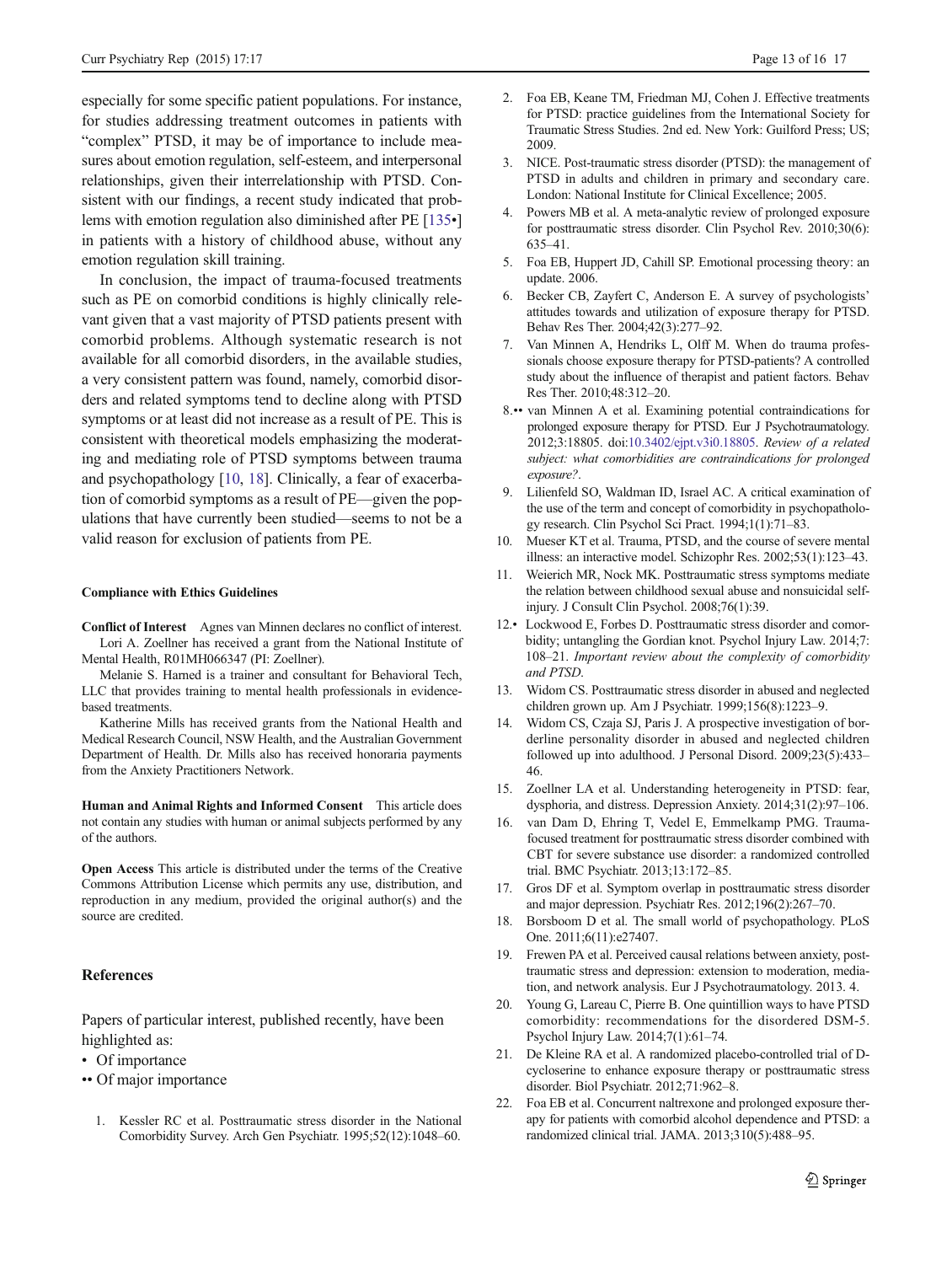<span id="page-12-0"></span>especially for some specific patient populations. For instance, for studies addressing treatment outcomes in patients with "complex" PTSD, it may be of importance to include measures about emotion regulation, self-esteem, and interpersonal relationships, given their interrelationship with PTSD. Consistent with our findings, a recent study indicated that problems with emotion regulation also diminished after PE [[135](#page-15-0)•] in patients with a history of childhood abuse, without any emotion regulation skill training.

In conclusion, the impact of trauma-focused treatments such as PE on comorbid conditions is highly clinically relevant given that a vast majority of PTSD patients present with comorbid problems. Although systematic research is not available for all comorbid disorders, in the available studies, a very consistent pattern was found, namely, comorbid disorders and related symptoms tend to decline along with PTSD symptoms or at least did not increase as a result of PE. This is consistent with theoretical models emphasizing the moderating and mediating role of PTSD symptoms between trauma and psychopathology [10, 18]. Clinically, a fear of exacerbation of comorbid symptoms as a result of PE—given the populations that have currently been studied—seems to not be a valid reason for exclusion of patients from PE.

#### Compliance with Ethics Guidelines

Conflict of Interest Agnes van Minnen declares no conflict of interest. Lori A. Zoellner has received a grant from the National Institute of Mental Health, R01MH066347 (PI: Zoellner).

Melanie S. Harned is a trainer and consultant for Behavioral Tech, LLC that provides training to mental health professionals in evidencebased treatments.

Katherine Mills has received grants from the National Health and Medical Research Council, NSW Health, and the Australian Government Department of Health. Dr. Mills also has received honoraria payments from the Anxiety Practitioners Network.

Human and Animal Rights and Informed Consent This article does not contain any studies with human or animal subjects performed by any of the authors.

Open Access This article is distributed under the terms of the Creative Commons Attribution License which permits any use, distribution, and reproduction in any medium, provided the original author(s) and the source are credited.

#### References

Papers of particular interest, published recently, have been highlighted as:

- Of importance
- •• Of major importance
	- 1. Kessler RC et al. Posttraumatic stress disorder in the National Comorbidity Survey. Arch Gen Psychiatr. 1995;52(12):1048–60.
- 2. Foa EB, Keane TM, Friedman MJ, Cohen J. Effective treatments for PTSD: practice guidelines from the International Society for Traumatic Stress Studies. 2nd ed. New York: Guilford Press; US; 2009.
- 3. NICE. Post-traumatic stress disorder (PTSD): the management of PTSD in adults and children in primary and secondary care. London: National Institute for Clinical Excellence; 2005.
- 4. Powers MB et al. A meta-analytic review of prolonged exposure for posttraumatic stress disorder. Clin Psychol Rev. 2010;30(6): 635–41.
- 5. Foa EB, Huppert JD, Cahill SP. Emotional processing theory: an update. 2006.
- 6. Becker CB, Zayfert C, Anderson E. A survey of psychologists' attitudes towards and utilization of exposure therapy for PTSD. Behav Res Ther. 2004;42(3):277–92.
- 7. Van Minnen A, Hendriks L, Olff M. When do trauma professionals choose exposure therapy for PTSD-patients? A controlled study about the influence of therapist and patient factors. Behav Res Ther. 2010;48:312–20.
- 8.•• van Minnen A et al. Examining potential contraindications for prolonged exposure therapy for PTSD. Eur J Psychotraumatology. 2012;3:18805. doi[:10.3402/ejpt.v3i0.18805.](http://dx.doi.org/doi:10.1001/jamapsychiatry.2014.2637) Review of a related subject: what comorbidities are contraindications for prolonged exposure?.
- 9. Lilienfeld SO, Waldman ID, Israel AC. A critical examination of the use of the term and concept of comorbidity in psychopathology research. Clin Psychol Sci Pract. 1994;1(1):71–83.
- 10. Mueser KT et al. Trauma, PTSD, and the course of severe mental illness: an interactive model. Schizophr Res. 2002;53(1):123–43.
- 11. Weierich MR, Nock MK. Posttraumatic stress symptoms mediate the relation between childhood sexual abuse and nonsuicidal selfinjury. J Consult Clin Psychol. 2008;76(1):39.
- 12.• Lockwood E, Forbes D. Posttraumatic stress disorder and comorbidity; untangling the Gordian knot. Psychol Injury Law. 2014;7: 108–21. Important review about the complexity of comorbidity and PTSD.
- 13. Widom CS. Posttraumatic stress disorder in abused and neglected children grown up. Am J Psychiatr. 1999;156(8):1223–9.
- 14. Widom CS, Czaja SJ, Paris J. A prospective investigation of borderline personality disorder in abused and neglected children followed up into adulthood. J Personal Disord. 2009;23(5):433– 46.
- 15. Zoellner LA et al. Understanding heterogeneity in PTSD: fear, dysphoria, and distress. Depression Anxiety. 2014;31(2):97–106.
- 16. van Dam D, Ehring T, Vedel E, Emmelkamp PMG. Traumafocused treatment for posttraumatic stress disorder combined with CBT for severe substance use disorder: a randomized controlled trial. BMC Psychiatr. 2013;13:172–85.
- 17. Gros DF et al. Symptom overlap in posttraumatic stress disorder and major depression. Psychiatr Res. 2012;196(2):267–70.
- 18. Borsboom D et al. The small world of psychopathology. PLoS One. 2011;6(11):e27407.
- 19. Frewen PA et al. Perceived causal relations between anxiety, posttraumatic stress and depression: extension to moderation, mediation, and network analysis. Eur J Psychotraumatology. 2013. 4.
- 20. Young G, Lareau C, Pierre B. One quintillion ways to have PTSD comorbidity: recommendations for the disordered DSM-5. Psychol Injury Law. 2014;7(1):61–74.
- 21. De Kleine RA et al. A randomized placebo-controlled trial of Dcycloserine to enhance exposure therapy or posttraumatic stress disorder. Biol Psychiatr. 2012;71:962–8.
- 22. Foa EB et al. Concurrent naltrexone and prolonged exposure therapy for patients with comorbid alcohol dependence and PTSD: a randomized clinical trial. JAMA. 2013;310(5):488–95.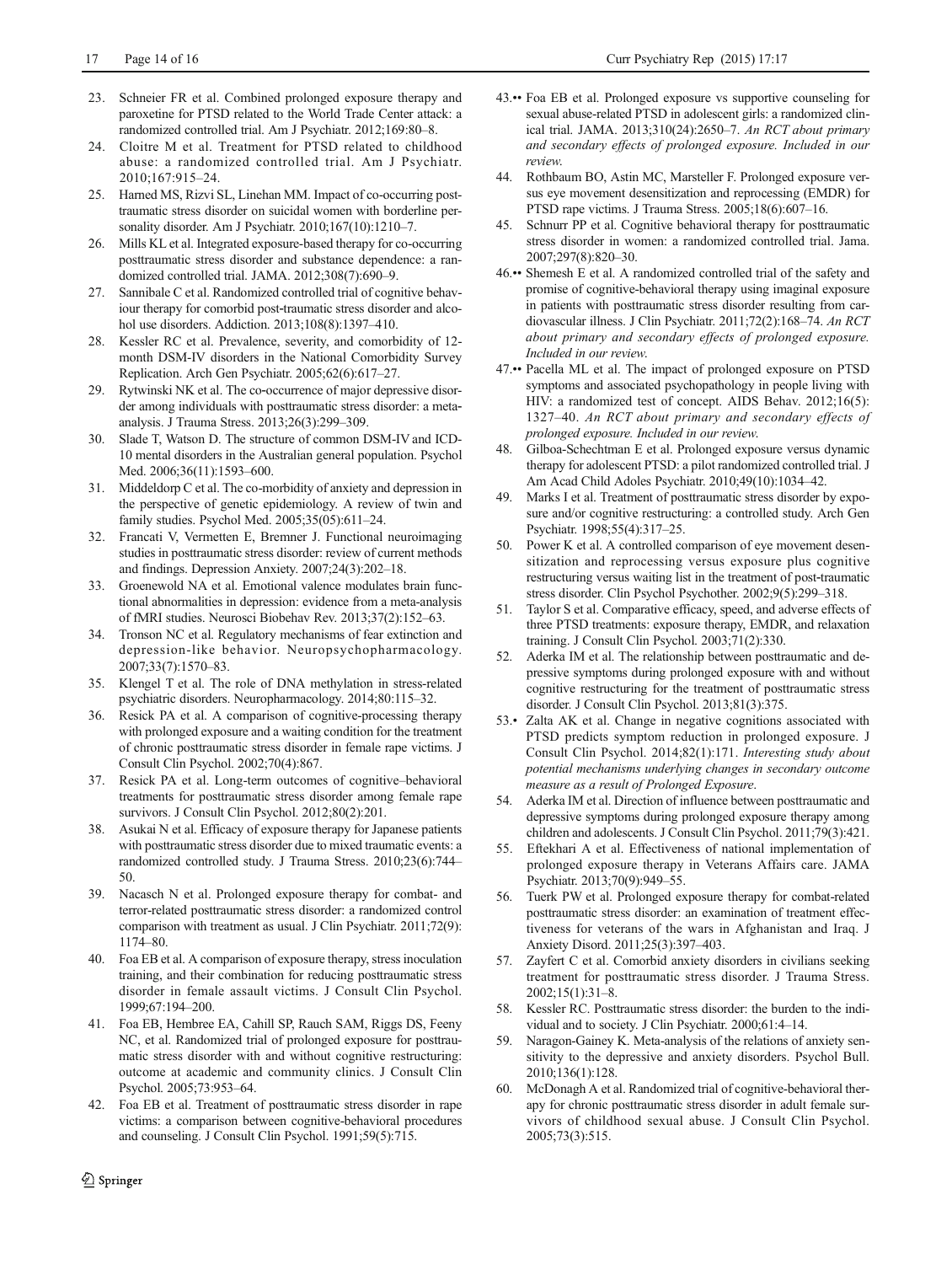- <span id="page-13-0"></span>23. Schneier FR et al. Combined prolonged exposure therapy and paroxetine for PTSD related to the World Trade Center attack: a randomized controlled trial. Am J Psychiatr. 2012;169:80–8.
- 24. Cloitre M et al. Treatment for PTSD related to childhood abuse: a randomized controlled trial. Am J Psychiatr. 2010;167:915–24.
- 25. Harned MS, Rizvi SL, Linehan MM. Impact of co-occurring posttraumatic stress disorder on suicidal women with borderline personality disorder. Am J Psychiatr. 2010;167(10):1210–7.
- 26. Mills KL et al. Integrated exposure-based therapy for co-occurring posttraumatic stress disorder and substance dependence: a randomized controlled trial. JAMA. 2012;308(7):690–9.
- 27. Sannibale C et al. Randomized controlled trial of cognitive behaviour therapy for comorbid post-traumatic stress disorder and alcohol use disorders. Addiction. 2013;108(8):1397–410.
- 28. Kessler RC et al. Prevalence, severity, and comorbidity of 12 month DSM-IV disorders in the National Comorbidity Survey Replication. Arch Gen Psychiatr. 2005;62(6):617–27.
- 29. Rytwinski NK et al. The co-occurrence of major depressive disorder among individuals with posttraumatic stress disorder: a metaanalysis. J Trauma Stress. 2013;26(3):299–309.
- 30. Slade T, Watson D. The structure of common DSM-IV and ICD-10 mental disorders in the Australian general population. Psychol Med. 2006;36(11):1593–600.
- 31. Middeldorp C et al. The co-morbidity of anxiety and depression in the perspective of genetic epidemiology. A review of twin and family studies. Psychol Med. 2005;35(05):611–24.
- 32. Francati V, Vermetten E, Bremner J. Functional neuroimaging studies in posttraumatic stress disorder: review of current methods and findings. Depression Anxiety. 2007;24(3):202–18.
- Groenewold NA et al. Emotional valence modulates brain functional abnormalities in depression: evidence from a meta-analysis of fMRI studies. Neurosci Biobehav Rev. 2013;37(2):152–63.
- 34. Tronson NC et al. Regulatory mechanisms of fear extinction and depression-like behavior. Neuropsychopharmacology. 2007;33(7):1570–83.
- 35. Klengel T et al. The role of DNA methylation in stress-related psychiatric disorders. Neuropharmacology. 2014;80:115–32.
- 36. Resick PA et al. A comparison of cognitive-processing therapy with prolonged exposure and a waiting condition for the treatment of chronic posttraumatic stress disorder in female rape victims. J Consult Clin Psychol. 2002;70(4):867.
- 37. Resick PA et al. Long-term outcomes of cognitive–behavioral treatments for posttraumatic stress disorder among female rape survivors. J Consult Clin Psychol. 2012;80(2):201.
- 38. Asukai N et al. Efficacy of exposure therapy for Japanese patients with posttraumatic stress disorder due to mixed traumatic events: a randomized controlled study. J Trauma Stress. 2010;23(6):744– 50.
- 39. Nacasch N et al. Prolonged exposure therapy for combat- and terror-related posttraumatic stress disorder: a randomized control comparison with treatment as usual. J Clin Psychiatr. 2011;72(9): 1174–80.
- 40. Foa EB et al. A comparison of exposure therapy, stress inoculation training, and their combination for reducing posttraumatic stress disorder in female assault victims. J Consult Clin Psychol. 1999;67:194–200.
- 41. Foa EB, Hembree EA, Cahill SP, Rauch SAM, Riggs DS, Feeny NC, et al. Randomized trial of prolonged exposure for posttraumatic stress disorder with and without cognitive restructuring: outcome at academic and community clinics. J Consult Clin Psychol. 2005;73:953–64.
- 42. Foa EB et al. Treatment of posttraumatic stress disorder in rape victims: a comparison between cognitive-behavioral procedures and counseling. J Consult Clin Psychol. 1991;59(5):715.
- 43.•• Foa EB et al. Prolonged exposure vs supportive counseling for sexual abuse-related PTSD in adolescent girls: a randomized clinical trial. JAMA. 2013;310(24):2650–7. An RCT about primary and secondary effects of prolonged exposure. Included in our review.
- 44. Rothbaum BO, Astin MC, Marsteller F. Prolonged exposure versus eye movement desensitization and reprocessing (EMDR) for PTSD rape victims. J Trauma Stress. 2005;18(6):607–16.
- 45. Schnurr PP et al. Cognitive behavioral therapy for posttraumatic stress disorder in women: a randomized controlled trial. Jama. 2007;297(8):820–30.
- 46.•• Shemesh E et al. A randomized controlled trial of the safety and promise of cognitive-behavioral therapy using imaginal exposure in patients with posttraumatic stress disorder resulting from cardiovascular illness. J Clin Psychiatr. 2011;72(2):168–74. An RCT about primary and secondary effects of prolonged exposure. Included in our review.
- 47.•• Pacella ML et al. The impact of prolonged exposure on PTSD symptoms and associated psychopathology in people living with HIV: a randomized test of concept. AIDS Behav. 2012;16(5): 1327–40. An RCT about primary and secondary effects of prolonged exposure. Included in our review.
- 48. Gilboa-Schechtman E et al. Prolonged exposure versus dynamic therapy for adolescent PTSD: a pilot randomized controlled trial. J Am Acad Child Adoles Psychiatr. 2010;49(10):1034–42.
- 49. Marks I et al. Treatment of posttraumatic stress disorder by exposure and/or cognitive restructuring: a controlled study. Arch Gen Psychiatr. 1998;55(4):317–25.
- 50. Power K et al. A controlled comparison of eye movement desensitization and reprocessing versus exposure plus cognitive restructuring versus waiting list in the treatment of post-traumatic stress disorder. Clin Psychol Psychother. 2002;9(5):299–318.
- 51. Taylor S et al. Comparative efficacy, speed, and adverse effects of three PTSD treatments: exposure therapy, EMDR, and relaxation training. J Consult Clin Psychol. 2003;71(2):330.
- 52. Aderka IM et al. The relationship between posttraumatic and depressive symptoms during prolonged exposure with and without cognitive restructuring for the treatment of posttraumatic stress disorder. J Consult Clin Psychol. 2013;81(3):375.
- 53.• Zalta AK et al. Change in negative cognitions associated with PTSD predicts symptom reduction in prolonged exposure. J Consult Clin Psychol. 2014;82(1):171. Interesting study about potential mechanisms underlying changes in secondary outcome measure as a result of Prolonged Exposure.
- 54. Aderka IM et al. Direction of influence between posttraumatic and depressive symptoms during prolonged exposure therapy among children and adolescents. J Consult Clin Psychol. 2011;79(3):421.
- 55. Eftekhari A et al. Effectiveness of national implementation of prolonged exposure therapy in Veterans Affairs care. JAMA Psychiatr. 2013;70(9):949–55.
- 56. Tuerk PW et al. Prolonged exposure therapy for combat-related posttraumatic stress disorder: an examination of treatment effectiveness for veterans of the wars in Afghanistan and Iraq. J Anxiety Disord. 2011;25(3):397–403.
- 57. Zayfert C et al. Comorbid anxiety disorders in civilians seeking treatment for posttraumatic stress disorder. J Trauma Stress. 2002;15(1):31–8.
- 58. Kessler RC. Posttraumatic stress disorder: the burden to the individual and to society. J Clin Psychiatr. 2000;61:4–14.
- Naragon-Gainey K. Meta-analysis of the relations of anxiety sensitivity to the depressive and anxiety disorders. Psychol Bull. 2010;136(1):128.
- 60. McDonagh A et al. Randomized trial of cognitive-behavioral therapy for chronic posttraumatic stress disorder in adult female survivors of childhood sexual abuse. J Consult Clin Psychol. 2005;73(3):515.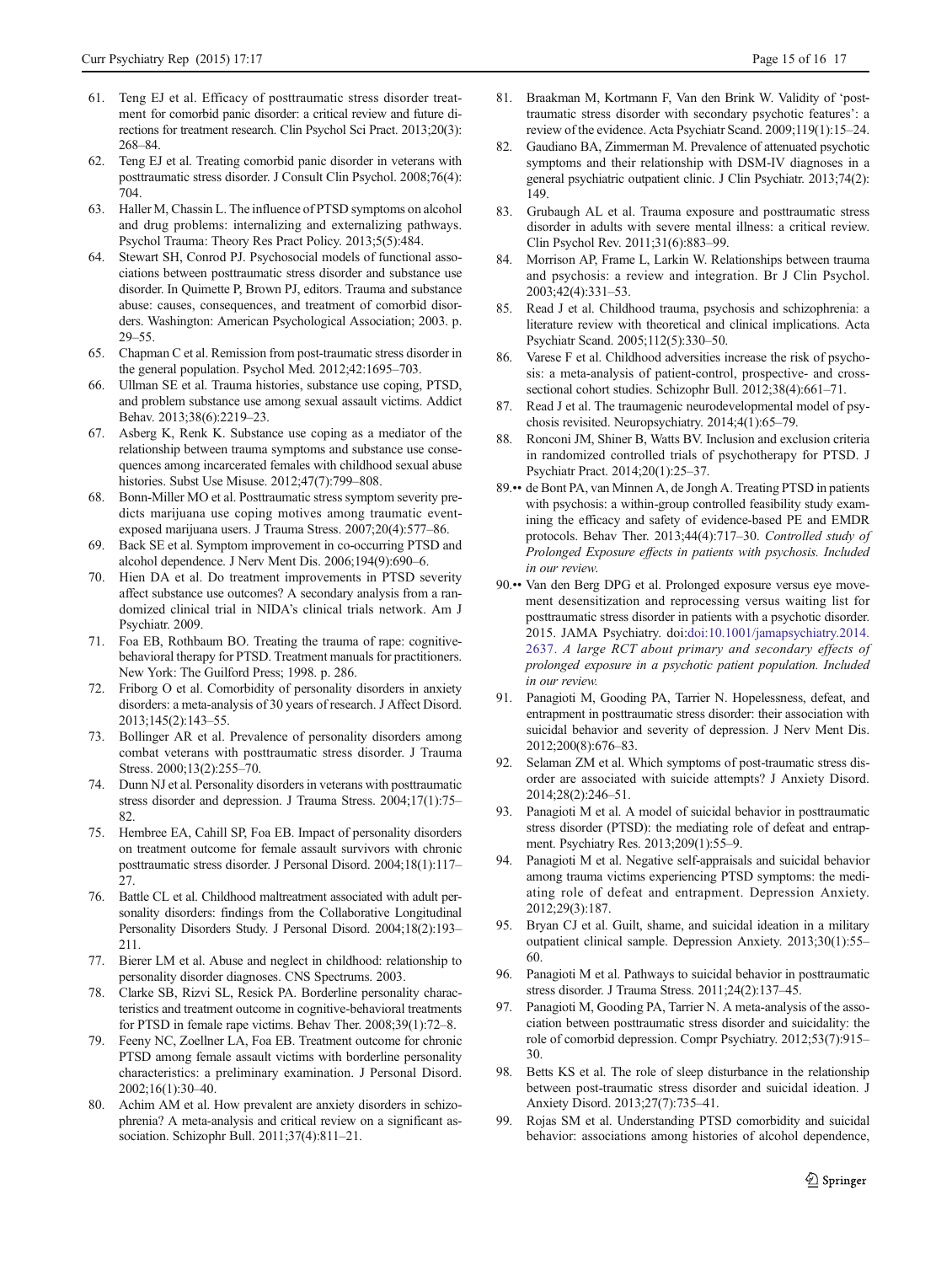- <span id="page-14-0"></span>61. Teng EJ et al. Efficacy of posttraumatic stress disorder treatment for comorbid panic disorder: a critical review and future directions for treatment research. Clin Psychol Sci Pract. 2013;20(3): 268–84.
- 62. Teng EJ et al. Treating comorbid panic disorder in veterans with posttraumatic stress disorder. J Consult Clin Psychol. 2008;76(4): 704.
- 63. Haller M, Chassin L. The influence of PTSD symptoms on alcohol and drug problems: internalizing and externalizing pathways. Psychol Trauma: Theory Res Pract Policy. 2013;5(5):484.
- 64. Stewart SH, Conrod PJ. Psychosocial models of functional associations between posttraumatic stress disorder and substance use disorder. In Quimette P, Brown PJ, editors. Trauma and substance abuse: causes, consequences, and treatment of comorbid disorders. Washington: American Psychological Association; 2003. p. 29–55.
- 65. Chapman C et al. Remission from post-traumatic stress disorder in the general population. Psychol Med. 2012;42:1695–703.
- 66. Ullman SE et al. Trauma histories, substance use coping, PTSD, and problem substance use among sexual assault victims. Addict Behav. 2013;38(6):2219–23.
- 67. Asberg K, Renk K. Substance use coping as a mediator of the relationship between trauma symptoms and substance use consequences among incarcerated females with childhood sexual abuse histories. Subst Use Misuse. 2012;47(7):799–808.
- 68. Bonn-Miller MO et al. Posttraumatic stress symptom severity predicts marijuana use coping motives among traumatic eventexposed marijuana users. J Trauma Stress. 2007;20(4):577–86.
- 69. Back SE et al. Symptom improvement in co-occurring PTSD and alcohol dependence. J Nerv Ment Dis. 2006;194(9):690–6.
- 70. Hien DA et al. Do treatment improvements in PTSD severity affect substance use outcomes? A secondary analysis from a randomized clinical trial in NIDA's clinical trials network. Am J Psychiatr. 2009.
- 71. Foa EB, Rothbaum BO. Treating the trauma of rape: cognitivebehavioral therapy for PTSD. Treatment manuals for practitioners. New York: The Guilford Press; 1998. p. 286.
- 72. Friborg O et al. Comorbidity of personality disorders in anxiety disorders: a meta-analysis of 30 years of research. J Affect Disord. 2013;145(2):143–55.
- 73. Bollinger AR et al. Prevalence of personality disorders among combat veterans with posttraumatic stress disorder. J Trauma Stress. 2000;13(2):255–70.
- 74. Dunn NJ et al. Personality disorders in veterans with posttraumatic stress disorder and depression. J Trauma Stress. 2004;17(1):75– 82.
- 75. Hembree EA, Cahill SP, Foa EB. Impact of personality disorders on treatment outcome for female assault survivors with chronic posttraumatic stress disorder. J Personal Disord. 2004;18(1):117– 27.
- 76. Battle CL et al. Childhood maltreatment associated with adult personality disorders: findings from the Collaborative Longitudinal Personality Disorders Study. J Personal Disord. 2004;18(2):193– 211.
- 77. Bierer LM et al. Abuse and neglect in childhood: relationship to personality disorder diagnoses. CNS Spectrums. 2003.
- 78. Clarke SB, Rizvi SL, Resick PA. Borderline personality characteristics and treatment outcome in cognitive-behavioral treatments for PTSD in female rape victims. Behav Ther. 2008;39(1):72–8.
- 79. Feeny NC, Zoellner LA, Foa EB. Treatment outcome for chronic PTSD among female assault victims with borderline personality characteristics: a preliminary examination. J Personal Disord. 2002;16(1):30–40.
- 80. Achim AM et al. How prevalent are anxiety disorders in schizophrenia? A meta-analysis and critical review on a significant association. Schizophr Bull. 2011;37(4):811–21.
- 81. Braakman M, Kortmann F, Van den Brink W. Validity of 'post‐ traumatic stress disorder with secondary psychotic features': a review of the evidence. Acta Psychiatr Scand. 2009;119(1):15–24.
- 82. Gaudiano BA, Zimmerman M. Prevalence of attenuated psychotic symptoms and their relationship with DSM-IV diagnoses in a general psychiatric outpatient clinic. J Clin Psychiatr. 2013;74(2): 149.
- 83. Grubaugh AL et al. Trauma exposure and posttraumatic stress disorder in adults with severe mental illness: a critical review. Clin Psychol Rev. 2011;31(6):883–99.
- 84. Morrison AP, Frame L, Larkin W. Relationships between trauma and psychosis: a review and integration. Br J Clin Psychol. 2003;42(4):331–53.
- 85. Read J et al. Childhood trauma, psychosis and schizophrenia: a literature review with theoretical and clinical implications. Acta Psychiatr Scand. 2005;112(5):330–50.
- 86. Varese F et al. Childhood adversities increase the risk of psychosis: a meta-analysis of patient-control, prospective- and crosssectional cohort studies. Schizophr Bull. 2012;38(4):661–71.
- 87. Read J et al. The traumagenic neurodevelopmental model of psychosis revisited. Neuropsychiatry. 2014;4(1):65–79.
- 88. Ronconi JM, Shiner B, Watts BV. Inclusion and exclusion criteria in randomized controlled trials of psychotherapy for PTSD. J Psychiatr Pract. 2014;20(1):25–37.
- 89.•• de Bont PA, van Minnen A, de Jongh A. Treating PTSD in patients with psychosis: a within-group controlled feasibility study examining the efficacy and safety of evidence-based PE and EMDR protocols. Behav Ther. 2013;44(4):717–30. Controlled study of Prolonged Exposure effects in patients with psychosis. Included in our review.
- 90.•• Van den Berg DPG et al. Prolonged exposure versus eye movement desensitization and reprocessing versus waiting list for posttraumatic stress disorder in patients with a psychotic disorder. 2015. JAMA Psychiatry. doi[:doi:10.1001/jamapsychiatry.2014.](http://dx.doi.org/doi:10.1001/jamapsychiatry.2014.2637) [2637.](http://dx.doi.org/doi:10.1001/jamapsychiatry.2014.2637) A large RCT about primary and secondary effects of prolonged exposure in a psychotic patient population. Included in our review.
- 91. Panagioti M, Gooding PA, Tarrier N. Hopelessness, defeat, and entrapment in posttraumatic stress disorder: their association with suicidal behavior and severity of depression. J Nerv Ment Dis. 2012;200(8):676–83.
- 92. Selaman ZM et al. Which symptoms of post-traumatic stress disorder are associated with suicide attempts? J Anxiety Disord. 2014;28(2):246–51.
- 93. Panagioti M et al. A model of suicidal behavior in posttraumatic stress disorder (PTSD): the mediating role of defeat and entrapment. Psychiatry Res. 2013;209(1):55–9.
- 94. Panagioti M et al. Negative self-appraisals and suicidal behavior among trauma victims experiencing PTSD symptoms: the mediating role of defeat and entrapment. Depression Anxiety. 2012;29(3):187.
- 95. Bryan CJ et al. Guilt, shame, and suicidal ideation in a military outpatient clinical sample. Depression Anxiety. 2013;30(1):55– 60.
- 96. Panagioti M et al. Pathways to suicidal behavior in posttraumatic stress disorder. J Trauma Stress. 2011;24(2):137–45.
- 97. Panagioti M, Gooding PA, Tarrier N. A meta-analysis of the association between posttraumatic stress disorder and suicidality: the role of comorbid depression. Compr Psychiatry. 2012;53(7):915– 30.
- 98. Betts KS et al. The role of sleep disturbance in the relationship between post-traumatic stress disorder and suicidal ideation. J Anxiety Disord. 2013;27(7):735–41.
- 99. Rojas SM et al. Understanding PTSD comorbidity and suicidal behavior: associations among histories of alcohol dependence,